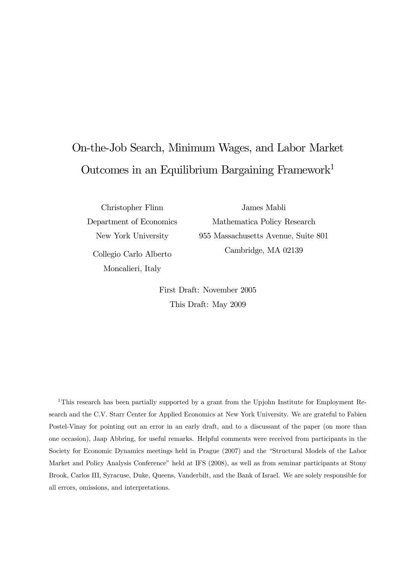# On-the-Job Search, Minimum Wages, and Labor Market Outcomes in an Equilibrium Bargaining Framework1

Christopher Flinn

James Mabli

Department of Economics New York University Collegio Carlo Alberto Moncalieri, Italy

Mathematica Policy Research 955 Massachusetts Avenue, Suite 801 Cambridge, MA 02139

First Draft: November 2005 This Draft: May 2009

<sup>1</sup>This research has been partially supported by a grant from the Upjohn Institute for Employment Research and the C.V. Starr Center for Applied Economics at New York University. We are grateful to Fabien Postel-Vinay for pointing out an error in an early draft, and to a discussant of the paper (on more than one occasion), Jaap Abbring, for useful remarks. Helpful comments were received from participants in the Society for Economic Dynamics meetings held in Prague (2007) and the "Structural Models of the Labor Market and Policy Analysis Conference" held at IFS (2008), as well as from seminar participants at Stony Brook, Carlos III, Syracuse, Duke, Queens, Vanderbilt, and the Bank of Israel. We are solely responsible for all errors, omissions, and interpretations.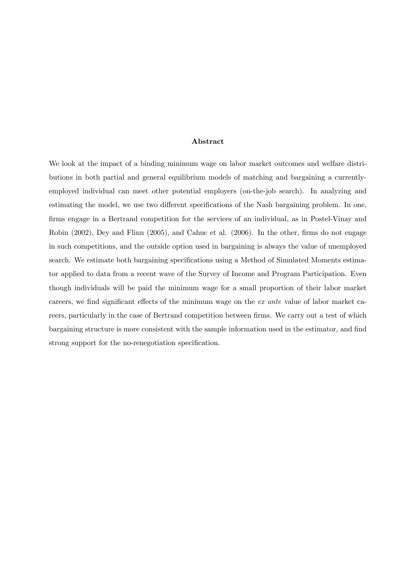#### Abstract

We look at the impact of a binding minimum wage on labor market outcomes and welfare distributions in both partial and general equilibrium models of matching and bargaining a currentlyemployed individual can meet other potential employers (on-the-job search). In analyzing and estimating the model, we use two different specifications of the Nash bargaining problem. In one, firms engage in a Bertrand competition for the services of an individual, as in Postel-Vinay and Robin (2002), Dey and Flinn (2005), and Cahuc et al. (2006). In the other, firms do not engage in such competitions, and the outside option used in bargaining is always the value of unemployed search. We estimate both bargaining specifications using a Method of Simulated Moments estimator applied to data from a recent wave of the Survey of Income and Program Participation. Even though individuals will be paid the minimum wage for a small proportion of their labor market careers, we find significant effects of the minimum wage on the ex ante value of labor market careers, particularly in the case of Bertrand competition between firms. We carry out a test of which bargaining structure is more consistent with the sample information used in the estimator, and find strong support for the no-renegotiation specification.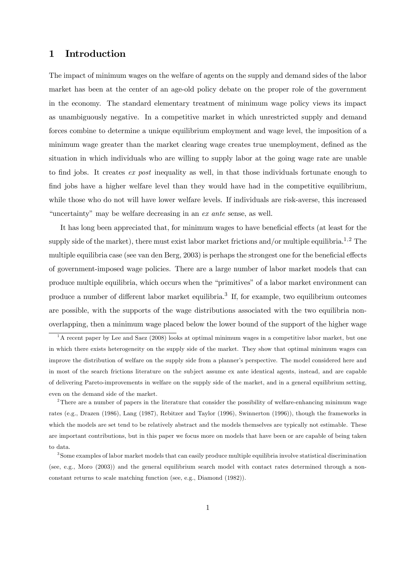## 1 Introduction

The impact of minimum wages on the welfare of agents on the supply and demand sides of the labor market has been at the center of an age-old policy debate on the proper role of the government in the economy. The standard elementary treatment of minimum wage policy views its impact as unambiguously negative. In a competitive market in which unrestricted supply and demand forces combine to determine a unique equilibrium employment and wage level, the imposition of a minimum wage greater than the market clearing wage creates true unemployment, defined as the situation in which individuals who are willing to supply labor at the going wage rate are unable to find jobs. It creates ex post inequality as well, in that those individuals fortunate enough to find jobs have a higher welfare level than they would have had in the competitive equilibrium, while those who do not will have lower welfare levels. If individuals are risk-averse, this increased "uncertainty" may be welfare decreasing in an ex ante sense, as well.

It has long been appreciated that, for minimum wages to have beneficial effects (at least for the supply side of the market), there must exist labor market frictions and/or multiple equilibria.<sup>1,2</sup> The multiple equilibria case (see van den Berg, 2003) is perhaps the strongest one for the beneficial effects of government-imposed wage policies. There are a large number of labor market models that can produce multiple equilibria, which occurs when the "primitives" of a labor market environment can produce a number of different labor market equilibria.3 If, for example, two equilibrium outcomes are possible, with the supports of the wage distributions associated with the two equilibria nonoverlapping, then a minimum wage placed below the lower bound of the support of the higher wage

<sup>&</sup>lt;sup>1</sup>A recent paper by Lee and Saez (2008) looks at optimal minimum wages in a competitive labor market, but one in which there exists heterogeneity on the supply side of the market. They show that optimal minimum wages can improve the distribution of welfare on the supply side from a planner's perspective. The model considered here and in most of the search frictions literature on the subject assume ex ante identical agents, instead, and are capable of delivering Pareto-improvements in welfare on the supply side of the market, and in a general equilibrium setting, even on the demand side of the market.

<sup>&</sup>lt;sup>2</sup>There are a number of papers in the literature that consider the possibility of welfare-enhancing minimum wage rates (e.g., Drazen (1986), Lang (1987), Rebitzer and Taylor (1996), Swinnerton (1996)), though the frameworks in which the models are set tend to be relatively abstract and the models themselves are typically not estimable. These are important contributions, but in this paper we focus more on models that have been or are capable of being taken to data.

<sup>3</sup>Some examples of labor market models that can easily produce multiple equilibria involve statistical discrimination (see, e.g., Moro (2003)) and the general equilibrium search model with contact rates determined through a nonconstant returns to scale matching function (see, e.g., Diamond (1982)).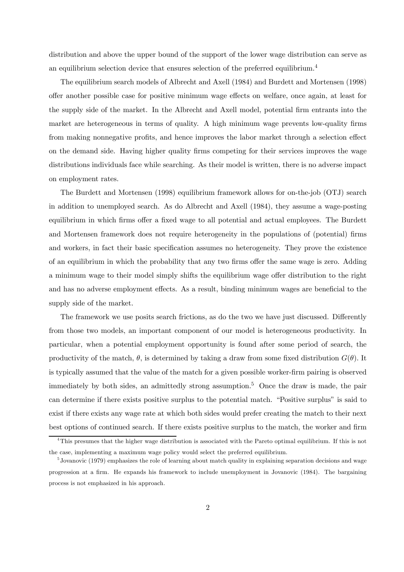distribution and above the upper bound of the support of the lower wage distribution can serve as an equilibrium selection device that ensures selection of the preferred equilibrium.<sup>4</sup>

The equilibrium search models of Albrecht and Axell (1984) and Burdett and Mortensen (1998) offer another possible case for positive minimum wage effects on welfare, once again, at least for the supply side of the market. In the Albrecht and Axell model, potential firm entrants into the market are heterogeneous in terms of quality. A high minimum wage prevents low-quality firms from making nonnegative profits, and hence improves the labor market through a selection effect on the demand side. Having higher quality firms competing for their services improves the wage distributions individuals face while searching. As their model is written, there is no adverse impact on employment rates.

The Burdett and Mortensen (1998) equilibrium framework allows for on-the-job (OTJ) search in addition to unemployed search. As do Albrecht and Axell (1984), they assume a wage-posting equilibrium in which firms offer a fixed wage to all potential and actual employees. The Burdett and Mortensen framework does not require heterogeneity in the populations of (potential) firms and workers, in fact their basic specification assumes no heterogeneity. They prove the existence of an equilibrium in which the probability that any two firms offer the same wage is zero. Adding a minimum wage to their model simply shifts the equilibrium wage offer distribution to the right and has no adverse employment effects. As a result, binding minimum wages are beneficial to the supply side of the market.

The framework we use posits search frictions, as do the two we have just discussed. Differently from those two models, an important component of our model is heterogeneous productivity. In particular, when a potential employment opportunity is found after some period of search, the productivity of the match,  $\theta$ , is determined by taking a draw from some fixed distribution  $G(\theta)$ . It is typically assumed that the value of the match for a given possible worker-firm pairing is observed immediately by both sides, an admittedly strong assumption.<sup>5</sup> Once the draw is made, the pair can determine if there exists positive surplus to the potential match. "Positive surplus" is said to exist if there exists any wage rate at which both sides would prefer creating the match to their next best options of continued search. If there exists positive surplus to the match, the worker and firm

<sup>&</sup>lt;sup>4</sup>This presumes that the higher wage distribution is associated with the Pareto optimal equilibrium. If this is not the case, implementing a maximum wage policy would select the preferred equilibrium.

<sup>&</sup>lt;sup>5</sup> Jovanovic (1979) emphasizes the role of learning about match quality in explaining separation decisions and wage progression at a firm. He expands his framework to include unemployment in Jovanovic (1984). The bargaining process is not emphasized in his approach.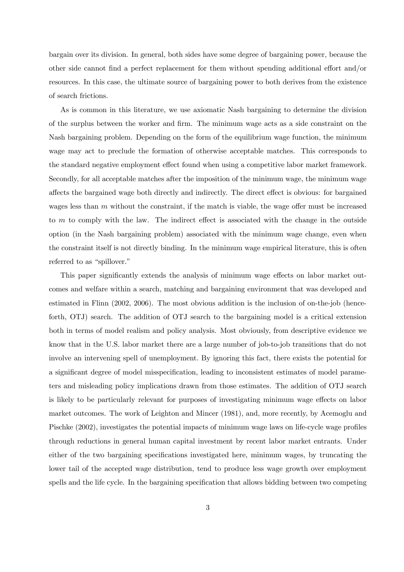bargain over its division. In general, both sides have some degree of bargaining power, because the other side cannot find a perfect replacement for them without spending additional effort and/or resources. In this case, the ultimate source of bargaining power to both derives from the existence of search frictions.

As is common in this literature, we use axiomatic Nash bargaining to determine the division of the surplus between the worker and firm. The minimum wage acts as a side constraint on the Nash bargaining problem. Depending on the form of the equilibrium wage function, the minimum wage may act to preclude the formation of otherwise acceptable matches. This corresponds to the standard negative employment effect found when using a competitive labor market framework. Secondly, for all acceptable matches after the imposition of the minimum wage, the minimum wage affects the bargained wage both directly and indirectly. The direct effect is obvious: for bargained wages less than  $m$  without the constraint, if the match is viable, the wage offer must be increased to m to comply with the law. The indirect effect is associated with the change in the outside option (in the Nash bargaining problem) associated with the minimum wage change, even when the constraint itself is not directly binding. In the minimum wage empirical literature, this is often referred to as "spillover."

This paper significantly extends the analysis of minimum wage effects on labor market outcomes and welfare within a search, matching and bargaining environment that was developed and estimated in Flinn (2002, 2006). The most obvious addition is the inclusion of on-the-job (henceforth, OTJ) search. The addition of OTJ search to the bargaining model is a critical extension both in terms of model realism and policy analysis. Most obviously, from descriptive evidence we know that in the U.S. labor market there are a large number of job-to-job transitions that do not involve an intervening spell of unemployment. By ignoring this fact, there exists the potential for a significant degree of model misspecification, leading to inconsistent estimates of model parameters and misleading policy implications drawn from those estimates. The addition of OTJ search is likely to be particularly relevant for purposes of investigating minimum wage effects on labor market outcomes. The work of Leighton and Mincer (1981), and, more recently, by Acemoglu and Pischke (2002), investigates the potential impacts of minimum wage laws on life-cycle wage profiles through reductions in general human capital investment by recent labor market entrants. Under either of the two bargaining specifications investigated here, minimum wages, by truncating the lower tail of the accepted wage distribution, tend to produce less wage growth over employment spells and the life cycle. In the bargaining specification that allows bidding between two competing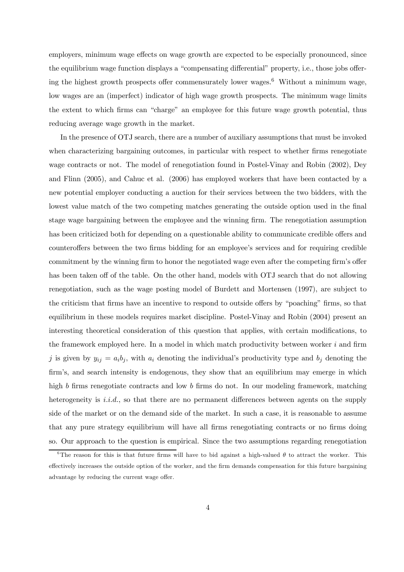employers, minimum wage effects on wage growth are expected to be especially pronounced, since the equilibrium wage function displays a "compensating differential" property, i.e., those jobs offering the highest growth prospects offer commensurately lower wages.<sup>6</sup> Without a minimum wage, low wages are an (imperfect) indicator of high wage growth prospects. The minimum wage limits the extent to which firms can "charge" an employee for this future wage growth potential, thus reducing average wage growth in the market.

In the presence of OTJ search, there are a number of auxiliary assumptions that must be invoked when characterizing bargaining outcomes, in particular with respect to whether firms renegotiate wage contracts or not. The model of renegotiation found in Postel-Vinay and Robin (2002), Dey and Flinn (2005), and Cahuc et al. (2006) has employed workers that have been contacted by a new potential employer conducting a auction for their services between the two bidders, with the lowest value match of the two competing matches generating the outside option used in the final stage wage bargaining between the employee and the winning firm. The renegotiation assumption has been criticized both for depending on a questionable ability to communicate credible offers and counteroffers between the two firms bidding for an employee's services and for requiring credible commitment by the winning firm to honor the negotiated wage even after the competing firm's offer has been taken off of the table. On the other hand, models with OTJ search that do not allowing renegotiation, such as the wage posting model of Burdett and Mortensen (1997), are subject to the criticism that firms have an incentive to respond to outside offers by "poaching" firms, so that equilibrium in these models requires market discipline. Postel-Vinay and Robin (2004) present an interesting theoretical consideration of this question that applies, with certain modifications, to the framework employed here. In a model in which match productivity between worker  $i$  and firm j is given by  $y_{ij} = a_i b_j$ , with  $a_i$  denoting the individual's productivity type and  $b_j$  denoting the firm's, and search intensity is endogenous, they show that an equilibrium may emerge in which high b firms renegotiate contracts and low b firms do not. In our modeling framework, matching heterogeneity is  $i.i.d.$ , so that there are no permanent differences between agents on the supply side of the market or on the demand side of the market. In such a case, it is reasonable to assume that any pure strategy equilibrium will have all firms renegotiating contracts or no firms doing so. Our approach to the question is empirical. Since the two assumptions regarding renegotiation

<sup>&</sup>lt;sup>6</sup>The reason for this is that future firms will have to bid against a high-valued  $\theta$  to attract the worker. This effectively increases the outside option of the worker, and the firm demands compensation for this future bargaining advantage by reducing the current wage offer.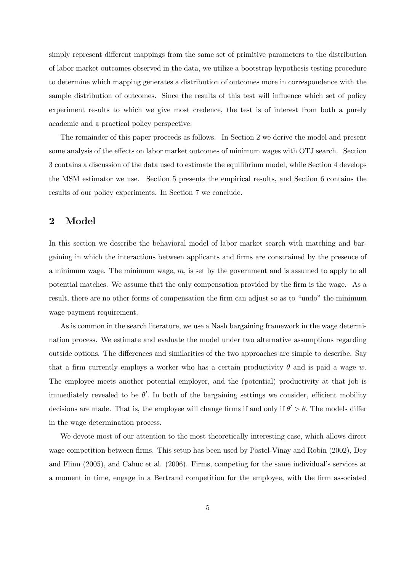simply represent different mappings from the same set of primitive parameters to the distribution of labor market outcomes observed in the data, we utilize a bootstrap hypothesis testing procedure to determine which mapping generates a distribution of outcomes more in correspondence with the sample distribution of outcomes. Since the results of this test will influence which set of policy experiment results to which we give most credence, the test is of interest from both a purely academic and a practical policy perspective.

The remainder of this paper proceeds as follows. In Section 2 we derive the model and present some analysis of the effects on labor market outcomes of minimum wages with OTJ search. Section 3 contains a discussion of the data used to estimate the equilibrium model, while Section 4 develops the MSM estimator we use. Section 5 presents the empirical results, and Section 6 contains the results of our policy experiments. In Section 7 we conclude.

## 2 Model

In this section we describe the behavioral model of labor market search with matching and bargaining in which the interactions between applicants and firms are constrained by the presence of a minimum wage. The minimum wage,  $m$ , is set by the government and is assumed to apply to all potential matches. We assume that the only compensation provided by the firm is the wage. As a result, there are no other forms of compensation the firm can adjust so as to "undo" the minimum wage payment requirement.

As is common in the search literature, we use a Nash bargaining framework in the wage determination process. We estimate and evaluate the model under two alternative assumptions regarding outside options. The differences and similarities of the two approaches are simple to describe. Say that a firm currently employs a worker who has a certain productivity  $\theta$  and is paid a wage w. The employee meets another potential employer, and the (potential) productivity at that job is immediately revealed to be  $\theta'$ . In both of the bargaining settings we consider, efficient mobility decisions are made. That is, the employee will change firms if and only if  $\theta' > \theta$ . The models differ in the wage determination process.

We devote most of our attention to the most theoretically interesting case, which allows direct wage competition between firms. This setup has been used by Postel-Vinay and Robin (2002), Dey and Flinn (2005), and Cahuc et al. (2006). Firms, competing for the same individual's services at a moment in time, engage in a Bertrand competition for the employee, with the firm associated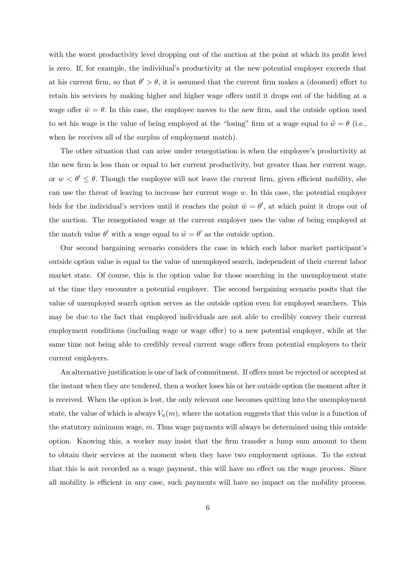with the worst productivity level dropping out of the auction at the point at which its profit level is zero. If, for example, the individual's productivity at the new potential employer exceeds that at his current firm, so that  $\theta' > \theta$ , it is assumed that the current firm makes a (doomed) effort to retain his services by making higher and higher wage offers until it drops out of the bidding at a wage offer  $\tilde{w} = \theta$ . In this case, the employee moves to the new firm, and the outside option used to set his wage is the value of being employed at the "losing" firm at a wage equal to  $\tilde{w} = \theta$  (i.e., when he receives all of the surplus of employment match).

The other situation that can arise under renegotiation is when the employee's productivity at the new firm is less than or equal to her current productivity, but greater than her current wage, or  $w < \theta' \leq \theta$ . Though the employee will not leave the current firm, given efficient mobility, she can use the threat of leaving to increase her current wage w. In this case, the potential employer bids for the individual's services until it reaches the point  $\tilde{w} = \theta'$ , at which point it drops out of the auction. The renegotiated wage at the current employer uses the value of being employed at the match value  $\theta'$  with a wage equal to  $\tilde{w} = \theta'$  as the outside option.

Our second bargaining scenario considers the case in which each labor market participant's outside option value is equal to the value of unemployed search, independent of their current labor market state. Of course, this is the option value for those searching in the unemployment state at the time they encounter a potential employer. The second bargaining scenario posits that the value of unemployed search option serves as the outside option even for employed searchers. This may be due to the fact that employed individuals are not able to credibly convey their current employment conditions (including wage or wage offer) to a new potential employer, while at the same time not being able to credibly reveal current wage offers from potential employers to their current employers.

An alternative justification is one of lack of commitment. If offers must be rejected or accepted at the instant when they are tendered, then a worker loses his or her outside option the moment after it is received. When the option is lost, the only relevant one becomes quitting into the unemployment state, the value of which is always  $V_n(m)$ , where the notation suggests that this value is a function of the statutory minimum wage,  $m$ . Thus wage payments will always be determined using this outside option. Knowing this, a worker may insist that the firm transfer a lump sum amount to them to obtain their services at the moment when they have two employment options. To the extent that this is not recorded as a wage payment, this will have no effect on the wage process. Since all mobility is efficient in any case, such payments will have no impact on the mobility process.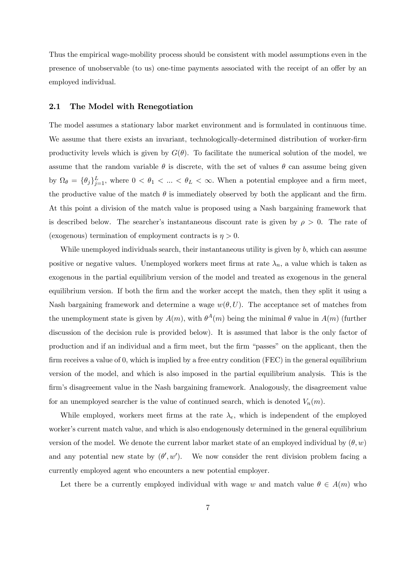Thus the empirical wage-mobility process should be consistent with model assumptions even in the presence of unobservable (to us) one-time payments associated with the receipt of an offer by an employed individual.

#### 2.1 The Model with Renegotiation

The model assumes a stationary labor market environment and is formulated in continuous time. We assume that there exists an invariant, technologically-determined distribution of worker-firm productivity levels which is given by  $G(\theta)$ . To facilitate the numerical solution of the model, we assume that the random variable  $\theta$  is discrete, with the set of values  $\theta$  can assume being given by  $\Omega_{\theta} = {\theta_j}_{j=1}^L$ , where  $0 < \theta_1 < ... < \theta_L < \infty$ . When a potential employee and a firm meet, the productive value of the match  $\theta$  is immediately observed by both the applicant and the firm. At this point a division of the match value is proposed using a Nash bargaining framework that is described below. The searcher's instantaneous discount rate is given by  $\rho > 0$ . The rate of (exogenous) termination of employment contracts is  $\eta > 0$ .

While unemployed individuals search, their instantaneous utility is given by  $b$ , which can assume positive or negative values. Unemployed workers meet firms at rate  $\lambda_n$ , a value which is taken as exogenous in the partial equilibrium version of the model and treated as exogenous in the general equilibrium version. If both the firm and the worker accept the match, then they split it using a Nash bargaining framework and determine a wage  $w(\theta, U)$ . The acceptance set of matches from the unemployment state is given by  $A(m)$ , with  $\theta^{A}(m)$  being the minimal  $\theta$  value in  $A(m)$  (further discussion of the decision rule is provided below). It is assumed that labor is the only factor of production and if an individual and a firm meet, but the firm "passes" on the applicant, then the firm receives a value of 0, which is implied by a free entry condition (FEC) in the general equilibrium version of the model, and which is also imposed in the partial equilibrium analysis. This is the firm's disagreement value in the Nash bargaining framework. Analogously, the disagreement value for an unemployed searcher is the value of continued search, which is denoted  $V_n(m)$ .

While employed, workers meet firms at the rate  $\lambda_e$ , which is independent of the employed worker's current match value, and which is also endogenously determined in the general equilibrium version of the model. We denote the current labor market state of an employed individual by  $(\theta, w)$ and any potential new state by  $(\theta', w')$ . We now consider the rent division problem facing a currently employed agent who encounters a new potential employer.

Let there be a currently employed individual with wage w and match value  $\theta \in A(m)$  who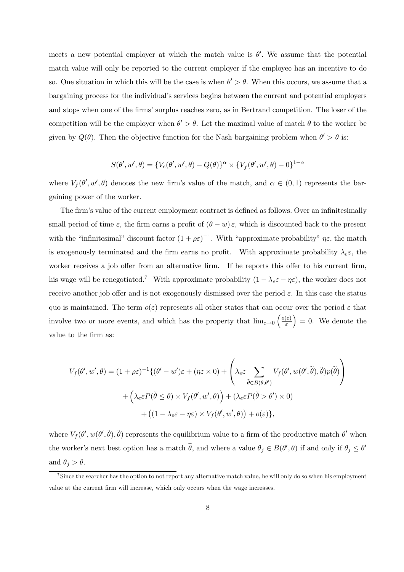meets a new potential employer at which the match value is  $\theta'$ . We assume that the potential match value will only be reported to the current employer if the employee has an incentive to do so. One situation in which this will be the case is when  $\theta' > \theta$ . When this occurs, we assume that a bargaining process for the individual's services begins between the current and potential employers and stops when one of the firms' surplus reaches zero, as in Bertrand competition. The loser of the competition will be the employer when  $\theta' > \theta$ . Let the maximal value of match  $\theta$  to the worker be given by  $Q(\theta)$ . Then the objective function for the Nash bargaining problem when  $\theta' > \theta$  is:

$$
S(\theta', w', \theta) = \{V_e(\theta', w', \theta) - Q(\theta)\}^{\alpha} \times \{V_f(\theta', w', \theta) - 0\}^{1-\alpha}
$$

where  $V_f(\theta', w', \theta)$  denotes the new firm's value of the match, and  $\alpha \in (0, 1)$  represents the bargaining power of the worker.

The firm's value of the current employment contract is defined as follows. Over an infinitesimally small period of time  $\varepsilon$ , the firm earns a profit of  $(\theta - w) \varepsilon$ , which is discounted back to the present with the "infinitesimal" discount factor  $(1+\rho\varepsilon)^{-1}$ . With "approximate probability"  $\eta\varepsilon$ , the match is exogenously terminated and the firm earns no profit. With approximate probability  $\lambda_e \varepsilon$ , the worker receives a job offer from an alternative firm. If he reports this offer to his current firm, his wage will be renegotiated.<sup>7</sup> With approximate probability  $(1 - \lambda_e \varepsilon - \eta \varepsilon)$ , the worker does not receive another job offer and is not exogenously dismissed over the period  $\varepsilon$ . In this case the status quo is maintained. The term  $o(\varepsilon)$  represents all other states that can occur over the period  $\varepsilon$  that involve two or more events, and which has the property that  $\lim_{\varepsilon \to 0} \left( \frac{o(\varepsilon)}{\varepsilon} \right)$ ε  $= 0$ . We denote the value to the firm as:

$$
V_f(\theta', w', \theta) = (1 + \rho \varepsilon)^{-1} \{ (\theta' - w')\varepsilon + (\eta \varepsilon \times 0) + \left( \lambda_e \varepsilon \sum_{\tilde{\theta} \in B(\theta, \theta')} V_f(\theta', w(\theta', \tilde{\theta}), \tilde{\theta}) p(\tilde{\theta}) \right) + \left( \lambda_e \varepsilon P(\tilde{\theta} \le \theta) \times V_f(\theta', w', \theta) \right) + (\lambda_e \varepsilon P(\tilde{\theta} > \theta') \times 0) + ((1 - \lambda_e \varepsilon - \eta \varepsilon) \times V_f(\theta', w', \theta)) + o(\varepsilon) \},
$$

where  $V_f(\theta', w(\theta', \tilde{\theta}), \tilde{\theta})$  represents the equilibrium value to a firm of the productive match  $\theta'$  when the worker's next best option has a match  $\theta$ , and where a value  $\theta_j \in B(\theta', \theta)$  if and only if  $\theta_j \leq \theta'$ and  $\theta_j > \theta$ .

<sup>7</sup>Since the searcher has the option to not report any alternative match value, he will only do so when his employment value at the current firm will increase, which only occurs when the wage increases.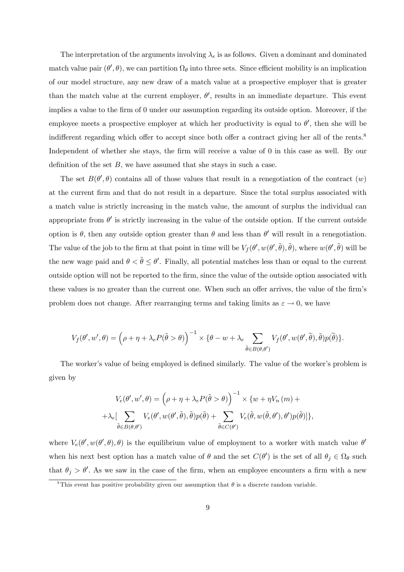The interpretation of the arguments involving  $\lambda_e$  is as follows. Given a dominant and dominated match value pair  $(\theta', \theta)$ , we can partition  $\Omega_{\theta}$  into three sets. Since efficient mobility is an implication of our model structure, any new draw of a match value at a prospective employer that is greater than the match value at the current employer,  $\theta'$ , results in an immediate departure. This event implies a value to the firm of 0 under our assumption regarding its outside option. Moreover, if the employee meets a prospective employer at which her productivity is equal to  $\theta'$ , then she will be indifferent regarding which offer to accept since both offer a contract giving her all of the rents.<sup>8</sup> Independent of whether she stays, the firm will receive a value of 0 in this case as well. By our definition of the set  $B$ , we have assumed that she stays in such a case.

The set  $B(\theta', \theta)$  contains all of those values that result in a renegotiation of the contract  $(w)$ at the current firm and that do not result in a departure. Since the total surplus associated with a match value is strictly increasing in the match value, the amount of surplus the individual can appropriate from  $\theta'$  is strictly increasing in the value of the outside option. If the current outside option is  $\theta$ , then any outside option greater than  $\theta$  and less than  $\theta'$  will result in a renegotiation. The value of the job to the firm at that point in time will be  $V_f(\theta', w(\theta', \tilde{\theta}), \tilde{\theta})$ , where  $w(\theta', \tilde{\theta})$  will be the new wage paid and  $\theta < \tilde{\theta} \leq \theta'$ . Finally, all potential matches less than or equal to the current outside option will not be reported to the firm, since the value of the outside option associated with these values is no greater than the current one. When such an offer arrives, the value of the firm's problem does not change. After rearranging terms and taking limits as  $\varepsilon \to 0$ , we have

$$
V_f(\theta', w', \theta) = (\rho + \eta + \lambda_e P(\tilde{\theta} > \theta))^{-1} \times {\theta - w + \lambda_e \sum_{\tilde{\theta} \in B(\theta, \theta')} V_f(\theta', w(\theta', \tilde{\theta}), \tilde{\theta}) p(\tilde{\theta})}.
$$

The worker's value of being employed is defined similarly. The value of the worker's problem is given by

$$
V_e(\theta', w', \theta) = (\rho + \eta + \lambda_e P(\tilde{\theta} > \theta))^{-1} \times \{w + \eta V_n(m) +
$$
  
+
$$
\lambda_e \left[ \sum_{\tilde{\theta} \in B(\theta, \theta')} V_e(\theta', w(\theta', \tilde{\theta}), \tilde{\theta}) p(\tilde{\theta}) + \sum_{\tilde{\theta} \in C(\theta')} V_e(\tilde{\theta}, w(\tilde{\theta}, \theta'), \theta') p(\tilde{\theta}) \right] \},
$$

where  $V_e(\theta', w(\theta', \theta), \theta)$  is the equilibrium value of employment to a worker with match value  $\theta'$ when his next best option has a match value of  $\theta$  and the set  $C(\theta')$  is the set of all  $\theta_j \in \Omega_{\theta}$  such that  $\theta_j > \theta'$ . As we saw in the case of the firm, when an employee encounters a firm with a new

<sup>&</sup>lt;sup>8</sup>This event has positive probability given our assumption that  $\theta$  is a discrete random variable.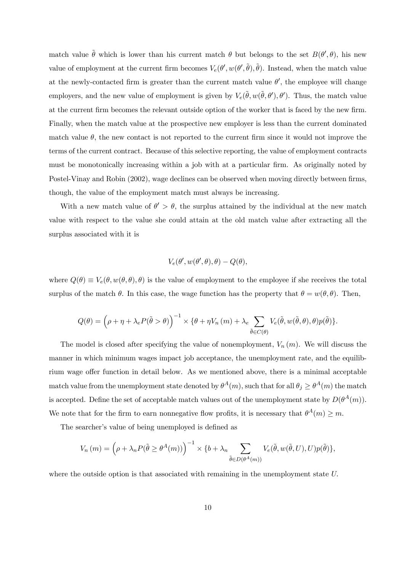match value  $\tilde{\theta}$  which is lower than his current match  $\theta$  but belongs to the set  $B(\theta', \theta)$ , his new value of employment at the current firm becomes  $V_e(\theta', w(\theta', \tilde{\theta}), \tilde{\theta})$ . Instead, when the match value at the newly-contacted firm is greater than the current match value  $\theta'$ , the employee will change employers, and the new value of employment is given by  $V_e(\tilde{\theta}, w(\tilde{\theta}, \theta'), \theta')$ . Thus, the match value at the current firm becomes the relevant outside option of the worker that is faced by the new firm. Finally, when the match value at the prospective new employer is less than the current dominated match value  $\theta$ , the new contact is not reported to the current firm since it would not improve the terms of the current contract. Because of this selective reporting, the value of employment contracts must be monotonically increasing within a job with at a particular firm. As originally noted by Postel-Vinay and Robin (2002), wage declines can be observed when moving directly between firms, though, the value of the employment match must always be increasing.

With a new match value of  $\theta' > \theta$ , the surplus attained by the individual at the new match value with respect to the value she could attain at the old match value after extracting all the surplus associated with it is

$$
V_e(\theta', w(\theta', \theta), \theta) - Q(\theta),
$$

where  $Q(\theta) \equiv V_e(\theta, w(\theta, \theta), \theta)$  is the value of employment to the employee if she receives the total surplus of the match  $\theta$ . In this case, the wage function has the property that  $\theta = w(\theta, \theta)$ . Then,

$$
Q(\theta) = (\rho + \eta + \lambda_e P(\tilde{\theta} > \theta))^{-1} \times \{\theta + \eta V_n(m) + \lambda_e \sum_{\tilde{\theta} \in C(\theta)} V_e(\tilde{\theta}, w(\tilde{\theta}, \theta), \theta) p(\tilde{\theta})\}.
$$

The model is closed after specifying the value of nonemployment,  $V_n(m)$ . We will discuss the manner in which minimum wages impact job acceptance, the unemployment rate, and the equilibrium wage offer function in detail below. As we mentioned above, there is a minimal acceptable match value from the unemployment state denoted by  $\theta^A(m)$ , such that for all  $\theta_i \geq \theta^A(m)$  the match is accepted. Define the set of acceptable match values out of the unemployment state by  $D(\theta^A(m))$ . We note that for the firm to earn nonnegative flow profits, it is necessary that  $\theta^A(m) \geq m$ .

The searcher's value of being unemployed is defined as

$$
V_n(m) = \left(\rho + \lambda_n P(\tilde{\theta} \ge \theta^A(m))\right)^{-1} \times \{b + \lambda_n \sum_{\tilde{\theta} \in D(\theta^A(m))} V_e(\tilde{\theta}, w(\tilde{\theta}, U), U)p(\tilde{\theta})\},\
$$

where the outside option is that associated with remaining in the unemployment state U.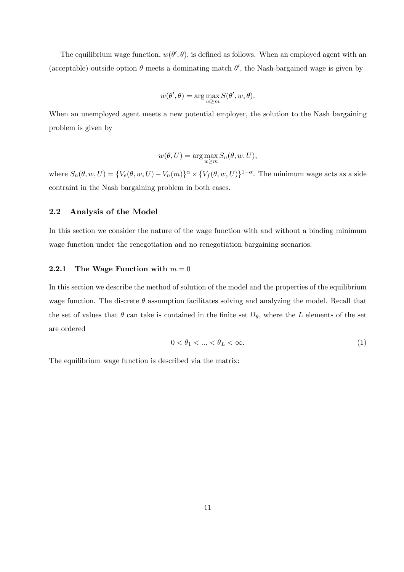The equilibrium wage function,  $w(\theta', \theta)$ , is defined as follows. When an employed agent with an (acceptable) outside option  $\theta$  meets a dominating match  $\theta'$ , the Nash-bargained wage is given by

$$
w(\theta', \theta) = \arg \max_{w \ge m} S(\theta', w, \theta).
$$

When an unemployed agent meets a new potential employer, the solution to the Nash bargaining problem is given by

$$
w(\theta, U) = \arg \max_{w \ge m} S_n(\theta, w, U),
$$

where  $S_n(\theta, w, U) = \{V_e(\theta, w, U) - V_n(m)\}^{\alpha} \times \{V_f(\theta, w, U)\}^{1-\alpha}$ . The minimum wage acts as a side contraint in the Nash bargaining problem in both cases.

#### 2.2 Analysis of the Model

In this section we consider the nature of the wage function with and without a binding minimum wage function under the renegotiation and no renegotiation bargaining scenarios.

#### 2.2.1 The Wage Function with  $m = 0$

In this section we describe the method of solution of the model and the properties of the equilibrium wage function. The discrete  $\theta$  assumption facilitates solving and analyzing the model. Recall that the set of values that  $\theta$  can take is contained in the finite set  $\Omega_{\theta}$ , where the L elements of the set are ordered

$$
0 < \theta_1 < \dots < \theta_L < \infty. \tag{1}
$$

The equilibrium wage function is described via the matrix: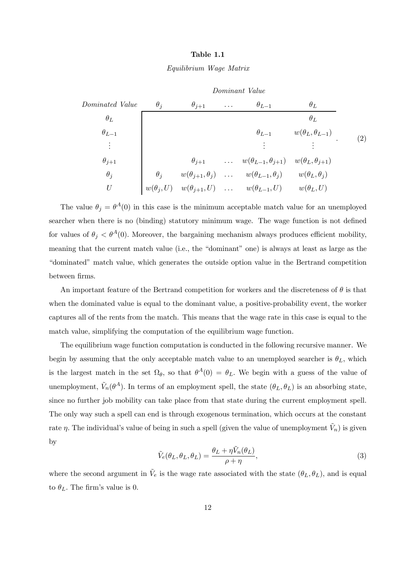#### Table 1.1

#### Equilibrium Wage Matrix



The value  $\theta_i = \theta^A(0)$  in this case is the minimum acceptable match value for an unemployed searcher when there is no (binding) statutory minimum wage. The wage function is not defined for values of  $\theta_j < \theta^A(0)$ . Moreover, the bargaining mechanism always produces efficient mobility, meaning that the current match value (i.e., the "dominant" one) is always at least as large as the "dominated" match value, which generates the outside option value in the Bertrand competition between firms.

An important feature of the Bertrand competition for workers and the discreteness of  $\theta$  is that when the dominated value is equal to the dominant value, a positive-probability event, the worker captures all of the rents from the match. This means that the wage rate in this case is equal to the match value, simplifying the computation of the equilibrium wage function.

The equilibrium wage function computation is conducted in the following recursive manner. We begin by assuming that the only acceptable match value to an unemployed searcher is  $\theta_L$ , which is the largest match in the set  $\Omega_{\theta}$ , so that  $\theta^{A}(0) = \theta_{L}$ . We begin with a guess of the value of unemployment,  $\tilde{V}_n(\theta^A)$ . In terms of an employment spell, the state  $(\theta_L, \theta_L)$  is an absorbing state, since no further job mobility can take place from that state during the current employment spell. The only way such a spell can end is through exogenous termination, which occurs at the constant rate  $\eta$ . The individual's value of being in such a spell (given the value of unemployment  $\tilde{V}_n$ ) is given by

$$
\tilde{V}_e(\theta_L, \theta_L, \theta_L) = \frac{\theta_L + \eta \tilde{V}_n(\theta_L)}{\rho + \eta},\tag{3}
$$

where the second argument in  $V_e$  is the wage rate associated with the state  $(\theta_L, \theta_L)$ , and is equal to  $\theta_L$ . The firm's value is 0.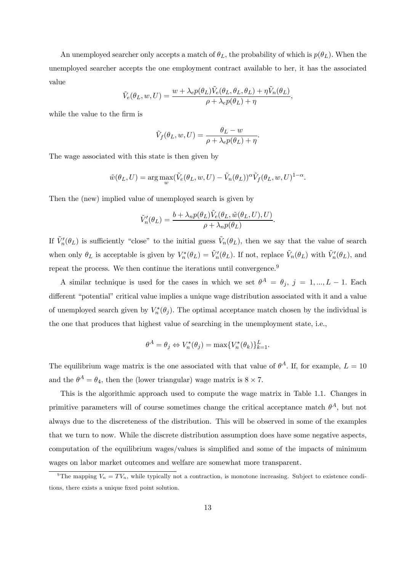An unemployed searcher only accepts a match of  $\theta_L$ , the probability of which is  $p(\theta_L)$ . When the unemployed searcher accepts the one employment contract available to her, it has the associated value

$$
\tilde{V}_e(\theta_L, w, U) = \frac{w + \lambda_e p(\theta_L) \tilde{V}_e(\theta_L, \theta_L, \theta_L) + \eta \tilde{V}_n(\theta_L)}{\rho + \lambda_e p(\theta_L) + \eta},
$$

while the value to the firm is

$$
\tilde{V}_f(\theta_L, w, U) = \frac{\theta_L - w}{\rho + \lambda_e p(\theta_L) + \eta}.
$$

The wage associated with this state is then given by

$$
\tilde{w}(\theta_L, U) = \arg \max_{w} (\tilde{V}_e(\theta_L, w, U) - \tilde{V}_n(\theta_L))^{\alpha} \tilde{V}_f(\theta_L, w, U)^{1-\alpha}.
$$

Then the (new) implied value of unemployed search is given by

$$
\tilde{V}'_n(\theta_L) = \frac{b + \lambda_n p(\theta_L) \tilde{V}_e(\theta_L, \tilde{w}(\theta_L, U), U)}{\rho + \lambda_n p(\theta_L)}.
$$

If  $\tilde{V}'_n(\theta_L)$  is sufficiently "close" to the initial guess  $\tilde{V}_n(\theta_L)$ , then we say that the value of search when only  $\theta_L$  is acceptable is given by  $V_n^*(\theta_L) = \tilde{V}_n'(\theta_L)$ . If not, replace  $\tilde{V}_n(\theta_L)$  with  $\tilde{V}_n'(\theta_L)$ , and repeat the process. We then continue the iterations until convergence.<sup>9</sup>

A similar technique is used for the cases in which we set  $\theta^A = \theta_i$ ,  $j = 1, ..., L - 1$ . Each different "potential" critical value implies a unique wage distribution associated with it and a value of unemployed search given by  $V_n^*(\theta_j)$ . The optimal acceptance match chosen by the individual is the one that produces that highest value of searching in the unemployment state, i.e.,

$$
\theta^A = \theta_j \Leftrightarrow V_n^*(\theta_j) = \max\{V_n^*(\theta_k)\}_{k=1}^L.
$$

The equilibrium wage matrix is the one associated with that value of  $\theta^A$ . If, for example,  $L = 10$ and the  $\theta^A = \theta_4$ , then the (lower triangular) wage matrix is  $8 \times 7$ .

This is the algorithmic approach used to compute the wage matrix in Table 1.1. Changes in primitive parameters will of course sometimes change the critical acceptance match  $\theta^A$ , but not always due to the discreteness of the distribution. This will be observed in some of the examples that we turn to now. While the discrete distribution assumption does have some negative aspects, computation of the equilibrium wages/values is simplified and some of the impacts of minimum wages on labor market outcomes and welfare are somewhat more transparent.

<sup>&</sup>lt;sup>9</sup>The mapping  $V_n = TV_n$ , while typically not a contraction, is monotone increasing. Subject to existence conditions, there exists a unique fixed point solution.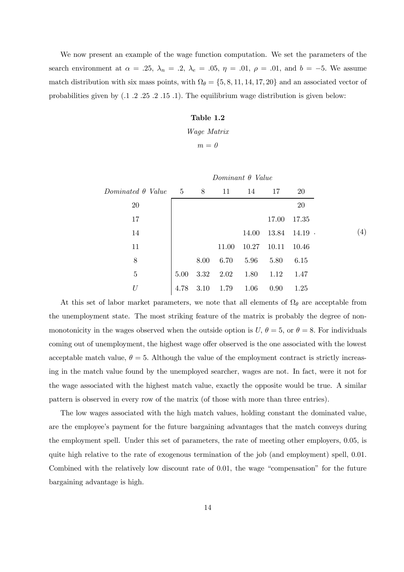We now present an example of the wage function computation. We set the parameters of the search environment at  $\alpha = .25$ ,  $\lambda_n = .2$ ,  $\lambda_e = .05$ ,  $\eta = .01$ ,  $\rho = .01$ , and  $b = -5$ . We assume match distribution with six mass points, with  $\Omega_{\theta} = \{5, 8, 11, 14, 17, 20\}$  and an associated vector of probabilities given by (.1 .2 .25 .2 .15 .1). The equilibrium wage distribution is given below:

#### Table 1.2

Wage Matrix

$$
m=\theta
$$

|                          |             |      |       | Dominant $\theta$ Value |                   |           |
|--------------------------|-------------|------|-------|-------------------------|-------------------|-----------|
| Dominated $\theta$ Value | $5\qquad 8$ |      | 11    | 14                      | 17                | <b>20</b> |
| 20                       |             |      |       |                         |                   | 20        |
| 17                       |             |      |       |                         | 17.00             | 17.35     |
| 14                       |             |      |       | 14.00                   | $13.84$ $14.19$ . |           |
| 11                       |             |      | 11.00 | 10.27                   | 10.11             | 10.46     |
| 8                        |             | 8.00 | 6.70  | 5.96                    | 5.80              | 6.15      |
| $\bf 5$                  | 5.00        | 3.32 | 2.02  | 1.80                    | 1.12              | 1.47      |
| U                        | 4.78        | 3.10 | 1.79  | 1.06                    | 0.90              | 1.25      |

At this set of labor market parameters, we note that all elements of  $\Omega_{\theta}$  are acceptable from the unemployment state. The most striking feature of the matrix is probably the degree of nonmonotonicity in the wages observed when the outside option is  $U, \theta = 5$ , or  $\theta = 8$ . For individuals coming out of unemployment, the highest wage offer observed is the one associated with the lowest acceptable match value,  $\theta = 5$ . Although the value of the employment contract is strictly increasing in the match value found by the unemployed searcher, wages are not. In fact, were it not for the wage associated with the highest match value, exactly the opposite would be true. A similar pattern is observed in every row of the matrix (of those with more than three entries).

The low wages associated with the high match values, holding constant the dominated value, are the employee's payment for the future bargaining advantages that the match conveys during the employment spell. Under this set of parameters, the rate of meeting other employers, 0.05, is quite high relative to the rate of exogenous termination of the job (and employment) spell, 0.01. Combined with the relatively low discount rate of 0.01, the wage "compensation" for the future bargaining advantage is high.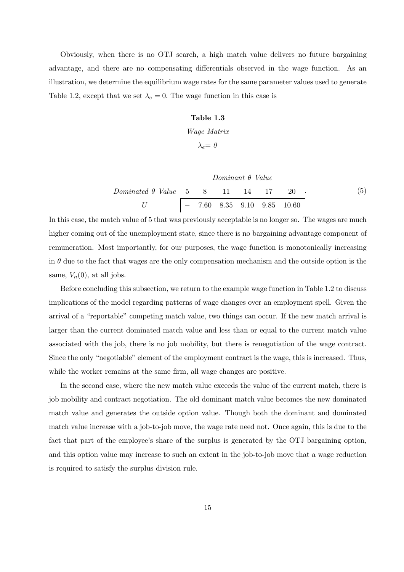Obviously, when there is no OTJ search, a high match value delivers no future bargaining advantage, and there are no compensating differentials observed in the wage function. As an illustration, we determine the equilibrium wage rates for the same parameter values used to generate Table 1.2, except that we set  $\lambda_e = 0$ . The wage function in this case is

#### Table 1.3

Wage Matrix

$$
\lambda_e = 0
$$

Dominant θ Value

$$
Dominated \theta \ Value \begin{array}{c|ccccc} 5 & 8 & 11 & 14 & 17 & 20 \\ \hline U & & & & & & \\ \end{array}
$$
\n
$$
(5)
$$
\n
$$
U
$$
\n
$$
7.60 \quad 8.35 \quad 9.10 \quad 9.85 \quad 10.60
$$

In this case, the match value of 5 that was previously acceptable is no longer so. The wages are much higher coming out of the unemployment state, since there is no bargaining advantage component of remuneration. Most importantly, for our purposes, the wage function is monotonically increasing in  $\theta$  due to the fact that wages are the only compensation mechanism and the outside option is the same,  $V_n(0)$ , at all jobs.

Before concluding this subsection, we return to the example wage function in Table 1.2 to discuss implications of the model regarding patterns of wage changes over an employment spell. Given the arrival of a "reportable" competing match value, two things can occur. If the new match arrival is larger than the current dominated match value and less than or equal to the current match value associated with the job, there is no job mobility, but there is renegotiation of the wage contract. Since the only "negotiable" element of the employment contract is the wage, this is increased. Thus, while the worker remains at the same firm, all wage changes are positive.

In the second case, where the new match value exceeds the value of the current match, there is job mobility and contract negotiation. The old dominant match value becomes the new dominated match value and generates the outside option value. Though both the dominant and dominated match value increase with a job-to-job move, the wage rate need not. Once again, this is due to the fact that part of the employee's share of the surplus is generated by the OTJ bargaining option, and this option value may increase to such an extent in the job-to-job move that a wage reduction is required to satisfy the surplus division rule.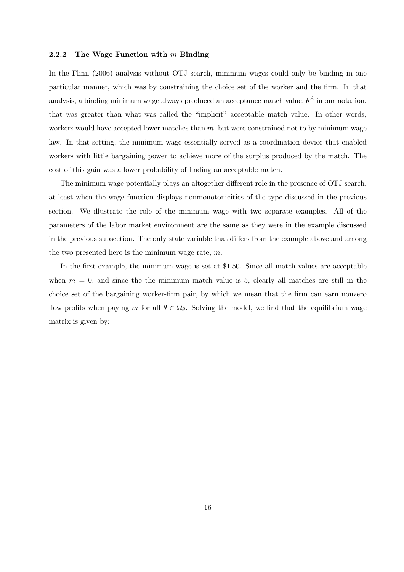#### 2.2.2 The Wage Function with  $m$  Binding

In the Flinn (2006) analysis without OTJ search, minimum wages could only be binding in one particular manner, which was by constraining the choice set of the worker and the firm. In that analysis, a binding minimum wage always produced an acceptance match value,  $\theta^A$  in our notation, that was greater than what was called the "implicit" acceptable match value. In other words, workers would have accepted lower matches than  $m$ , but were constrained not to by minimum wage law. In that setting, the minimum wage essentially served as a coordination device that enabled workers with little bargaining power to achieve more of the surplus produced by the match. The cost of this gain was a lower probability of finding an acceptable match.

The minimum wage potentially plays an altogether different role in the presence of OTJ search, at least when the wage function displays nonmonotonicities of the type discussed in the previous section. We illustrate the role of the minimum wage with two separate examples. All of the parameters of the labor market environment are the same as they were in the example discussed in the previous subsection. The only state variable that differs from the example above and among the two presented here is the minimum wage rate, m.

In the first example, the minimum wage is set at \$1.50. Since all match values are acceptable when  $m = 0$ , and since the the minimum match value is 5, clearly all matches are still in the choice set of the bargaining worker-firm pair, by which we mean that the firm can earn nonzero flow profits when paying m for all  $\theta \in \Omega_{\theta}$ . Solving the model, we find that the equilibrium wage matrix is given by: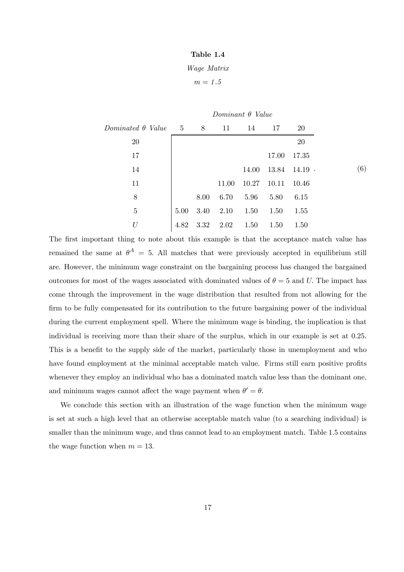#### Table 1.4

#### Wage Matrix

 $m=\sqrt{1.5}$ 

|                          |            |                |       | Dominant $\theta$ Value |       |                   |
|--------------------------|------------|----------------|-------|-------------------------|-------|-------------------|
| Dominated $\theta$ Value | $5\degree$ | 8 <sup>8</sup> | 11    | 14                      | 17    | <b>20</b>         |
| <b>20</b>                |            |                |       |                         |       | 20                |
| 17                       |            |                |       |                         | 17.00 | 17.35             |
| 14                       |            |                |       | 14.00                   |       | $13.84$ $14.19$ . |
| 11                       |            |                | 11.00 | 10.27                   | 10.11 | 10.46             |
| 8                        |            | 8.00           | 6.70  | 5.96                    | 5.80  | 6.15              |
| $\overline{5}$           | 5.00       | 3.40           | 2.10  | 1.50                    | 1.50  | 1.55              |
| U                        | 4.82       | 3.32           | 2.02  | 1.50                    | 1.50  | 1.50              |

The first important thing to note about this example is that the acceptance match value has remained the same at  $\theta^A = 5$ . All matches that were previously accepted in equilibrium still are. However, the minimum wage constraint on the bargaining process has changed the bargained outcomes for most of the wages associated with dominated values of  $\theta = 5$  and U. The impact has come through the improvement in the wage distribution that resulted from not allowing for the firm to be fully compensated for its contribution to the future bargaining power of the individual during the current employment spell. Where the minimum wage is binding, the implication is that individual is receiving more than their share of the surplus, which in our example is set at 0.25. This is a benefit to the supply side of the market, particularly those in unemployment and who have found employment at the minimal acceptable match value. Firms still earn positive profits whenever they employ an individual who has a dominated match value less than the dominant one. and minimum wages cannot affect the wage payment when  $\theta' = \theta$ .

We conclude this section with an illustration of the wage function when the minimum wage is set at such a high level that an otherwise acceptable match value (to a searching individual) is smaller than the minimum wage, and thus cannot lead to an employment match. Table 1.5 contains the wage function when  $m = 13$ .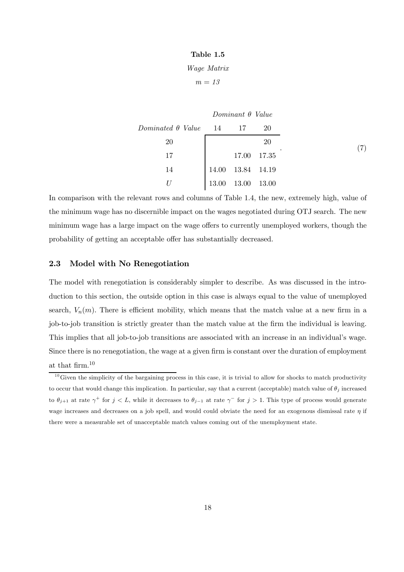#### Table 1.5

### Wage Matrix

 $m = 13$ 

|                          |       | Dominant $\theta$ Value |       |
|--------------------------|-------|-------------------------|-------|
| $Dominated \theta$ Value | 14 17 |                         | 20    |
| 20                       |       |                         | 20    |
| 17                       |       | 17.00                   | 17.35 |
| 14                       |       | 14.00  13.84  14.19     |       |
|                          | 13.00 | 13.00                   | 13.00 |

In comparison with the relevant rows and columns of Table 1.4, the new, extremely high, value of the minimum wage has no discernible impact on the wages negotiated during OTJ search. The new minimum wage has a large impact on the wage offers to currently unemployed workers, though the probability of getting an acceptable offer has substantially decreased.

### 2.3 Model with No Renegotiation

The model with renegotiation is considerably simpler to describe. As was discussed in the introduction to this section, the outside option in this case is always equal to the value of unemployed search,  $V_n(m)$ . There is efficient mobility, which means that the match value at a new firm in a job-to-job transition is strictly greater than the match value at the firm the individual is leaving. This implies that all job-to-job transitions are associated with an increase in an individual's wage. Since there is no renegotiation, the wage at a given firm is constant over the duration of employment at that firm.10

 $10$  Given the simplicity of the bargaining process in this case, it is trivial to allow for shocks to match productivity to occur that would change this implication. In particular, say that a current (acceptable) match value of  $\theta_j$  increased to  $\theta_{j+1}$  at rate  $\gamma^+$  for  $j < L$ , while it decreases to  $\theta_{j-1}$  at rate  $\gamma^-$  for  $j > 1$ . This type of process would generate wage increases and decreases on a job spell, and would could obviate the need for an exogenous dismissal rate  $\eta$  if there were a measurable set of unacceptable match values coming out of the unemployment state.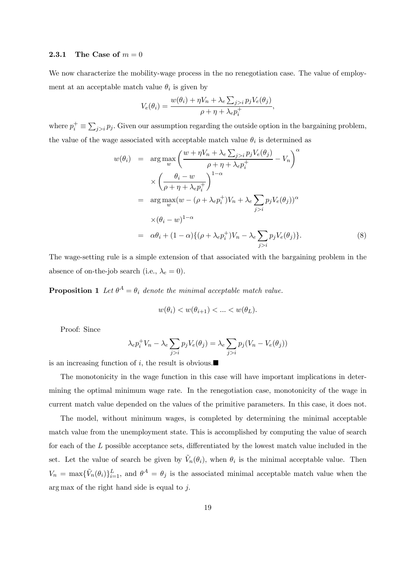#### 2.3.1 The Case of  $m = 0$

We now characterize the mobility-wage process in the no renegotiation case. The value of employment at an acceptable match value  $\theta_i$  is given by

$$
V_e(\theta_i) = \frac{w(\theta_i) + \eta V_n + \lambda_e \sum_{j>i} p_j V_e(\theta_j)}{\rho + \eta + \lambda_e p_i^+}
$$

where  $p_i^+ \equiv \sum_{j>i} p_j$ . Given our assumption regarding the outside option in the bargaining problem, the value of the wage associated with acceptable match value  $\theta_i$  is determined as

$$
w(\theta_i) = \arg \max_{w} \left( \frac{w + \eta V_n + \lambda_e \sum_{j>i} p_j V_e(\theta_j)}{\rho + \eta + \lambda_e p_i^+} - V_n \right)^{\alpha}
$$
  

$$
\times \left( \frac{\theta_i - w}{\rho + \eta + \lambda_e p_i^+} \right)^{1 - \alpha}
$$
  

$$
= \arg \max_{w} (w - (\rho + \lambda_e p_i^+) V_n + \lambda_e \sum_{j>i} p_j V_e(\theta_j))^{\alpha}
$$
  

$$
\times (\theta_i - w)^{1 - \alpha}
$$
  

$$
= \alpha \theta_i + (1 - \alpha) \{ (\rho + \lambda_e p_i^+) V_n - \lambda_e \sum_{j>i} p_j V_e(\theta_j) \}.
$$
 (8)

,

The wage-setting rule is a simple extension of that associated with the bargaining problem in the absence of on-the-job search (i.e.,  $\lambda_e = 0$ ).

**Proposition 1** Let  $\theta^A = \theta_i$  denote the minimal acceptable match value.

$$
w(\theta_i) < w(\theta_{i+1}) < \ldots < w(\theta_L).
$$

Proof: Since

$$
\lambda_e p_i^+ V_n - \lambda_e \sum_{j>i} p_j V_e(\theta_j) = \lambda_e \sum_{j>i} p_j (V_n - V_e(\theta_j))
$$

is an increasing function of i, the result is obvious. $\blacksquare$ 

The monotonicity in the wage function in this case will have important implications in determining the optimal minimum wage rate. In the renegotiation case, monotonicity of the wage in current match value depended on the values of the primitive parameters. In this case, it does not.

The model, without minimum wages, is completed by determining the minimal acceptable match value from the unemployment state. This is accomplished by computing the value of search for each of the L possible acceptance sets, differentiated by the lowest match value included in the set. Let the value of search be given by  $V_n(\theta_i)$ , when  $\theta_i$  is the minimal acceptable value. Then  $V_n = \max{\{\tilde{V}_n(\theta_i)\}_{i=1}^L}$ , and  $\theta^A = \theta_j$  is the associated minimal acceptable match value when the arg max of the right hand side is equal to j.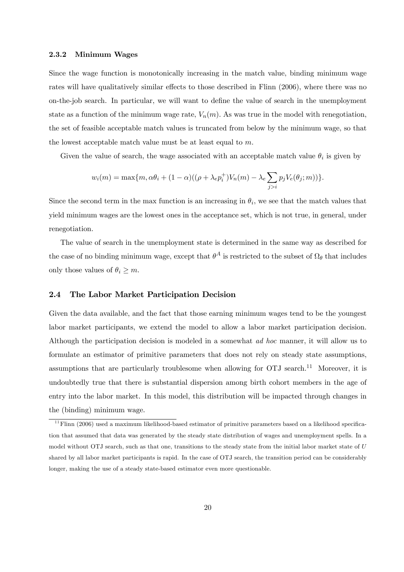#### 2.3.2 Minimum Wages

Since the wage function is monotonically increasing in the match value, binding minimum wage rates will have qualitatively similar effects to those described in Flinn (2006), where there was no on-the-job search. In particular, we will want to define the value of search in the unemployment state as a function of the minimum wage rate,  $V_n(m)$ . As was true in the model with renegotiation, the set of feasible acceptable match values is truncated from below by the minimum wage, so that the lowest acceptable match value must be at least equal to m.

Given the value of search, the wage associated with an acceptable match value  $\theta_i$  is given by

$$
w_i(m) = \max\{m, \alpha\theta_i + (1-\alpha)((\rho + \lambda_e p_i^+)V_n(m) - \lambda_e \sum_{j>i} p_j V_e(\theta_j; m))\}.
$$

Since the second term in the max function is an increasing in  $\theta_i$ , we see that the match values that yield minimum wages are the lowest ones in the acceptance set, which is not true, in general, under renegotiation.

The value of search in the unemployment state is determined in the same way as described for the case of no binding minimum wage, except that  $\theta^A$  is restricted to the subset of  $\Omega_\theta$  that includes only those values of  $\theta_i \geq m$ .

### 2.4 The Labor Market Participation Decision

Given the data available, and the fact that those earning minimum wages tend to be the youngest labor market participants, we extend the model to allow a labor market participation decision. Although the participation decision is modeled in a somewhat ad hoc manner, it will allow us to formulate an estimator of primitive parameters that does not rely on steady state assumptions, assumptions that are particularly troublesome when allowing for  $OTJ$  search.<sup>11</sup> Moreover, it is undoubtedly true that there is substantial dispersion among birth cohort members in the age of entry into the labor market. In this model, this distribution will be impacted through changes in the (binding) minimum wage.

 $11$  Flinn (2006) used a maximum likelihood-based estimator of primitive parameters based on a likelihood specification that assumed that data was generated by the steady state distribution of wages and unemployment spells. In a model without OTJ search, such as that one, transitions to the steady state from the initial labor market state of U shared by all labor market participants is rapid. In the case of OTJ search, the transition period can be considerably longer, making the use of a steady state-based estimator even more questionable.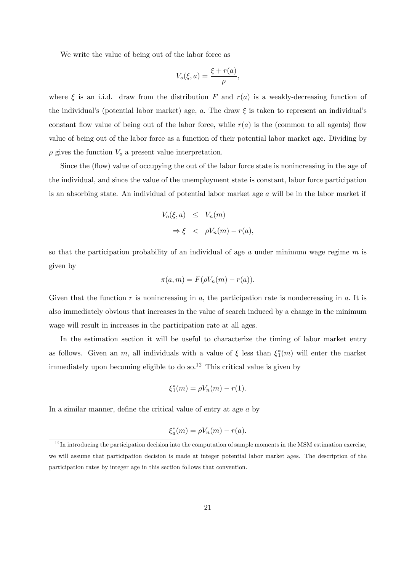We write the value of being out of the labor force as

$$
V_o(\xi, a) = \frac{\xi + r(a)}{\rho},
$$

where  $\xi$  is an i.i.d. draw from the distribution F and  $r(a)$  is a weakly-decreasing function of the individual's (potential labor market) age, a. The draw  $\xi$  is taken to represent an individual's constant flow value of being out of the labor force, while  $r(a)$  is the (common to all agents) flow value of being out of the labor force as a function of their potential labor market age. Dividing by  $\rho$  gives the function  $V_o$  a present value interpretation.

Since the (flow) value of occupying the out of the labor force state is nonincreasing in the age of the individual, and since the value of the unemployment state is constant, labor force participation is an absorbing state. An individual of potential labor market age a will be in the labor market if

$$
V_o(\xi, a) \le V_n(m)
$$
  
\n
$$
\Rightarrow \xi \le \rho V_n(m) - r(a),
$$

so that the participation probability of an individual of age  $a$  under minimum wage regime  $m$  is given by

$$
\pi(a,m) = F(\rho V_n(m) - r(a)).
$$

Given that the function r is nonincreasing in a, the participation rate is nondecreasing in  $a$ . It is also immediately obvious that increases in the value of search induced by a change in the minimum wage will result in increases in the participation rate at all ages.

In the estimation section it will be useful to characterize the timing of labor market entry as follows. Given an m, all individuals with a value of  $\xi$  less than  $\xi_1^*(m)$  will enter the market immediately upon becoming eligible to do so.<sup>12</sup> This critical value is given by

$$
\xi_1^*(m) = \rho V_n(m) - r(1).
$$

In a similar manner, define the critical value of entry at age a by

$$
\xi_a^*(m) = \rho V_n(m) - r(a).
$$

 $12$  In introducing the participation decision into the computation of sample moments in the MSM estimation exercise. we will assume that participation decision is made at integer potential labor market ages. The description of the participation rates by integer age in this section follows that convention.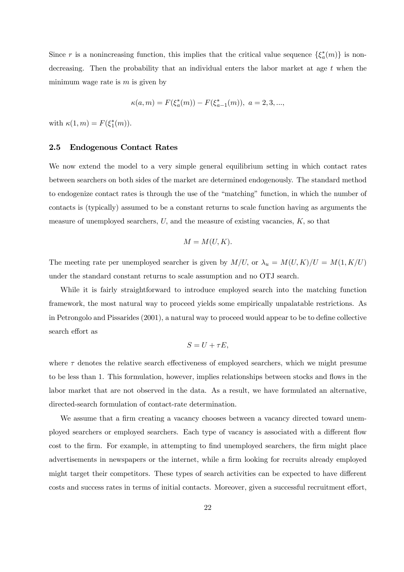Since r is a nonincreasing function, this implies that the critical value sequence  $\{\xi_a^*(m)\}\$ is nondecreasing. Then the probability that an individual enters the labor market at age  $t$  when the minimum wage rate is  $m$  is given by

$$
\kappa(a,m) = F(\xi_a^*(m)) - F(\xi_{a-1}^*(m)), \ a = 2,3,...,
$$

with  $\kappa(1,m) = F(\xi_1^*(m)).$ 

#### 2.5 Endogenous Contact Rates

We now extend the model to a very simple general equilibrium setting in which contact rates between searchers on both sides of the market are determined endogenously. The standard method to endogenize contact rates is through the use of the "matching" function, in which the number of contacts is (typically) assumed to be a constant returns to scale function having as arguments the measure of unemployed searchers,  $U$ , and the measure of existing vacancies,  $K$ , so that

$$
M = M(U, K).
$$

The meeting rate per unemployed searcher is given by  $M/U$ , or  $\lambda_u = M(U, K)/U = M(1, K/U)$ under the standard constant returns to scale assumption and no OTJ search.

While it is fairly straightforward to introduce employed search into the matching function framework, the most natural way to proceed yields some empirically unpalatable restrictions. As in Petrongolo and Pissarides (2001), a natural way to proceed would appear to be to define collective search effort as

$$
S = U + \tau E,
$$

where  $\tau$  denotes the relative search effectiveness of employed searchers, which we might presume to be less than 1. This formulation, however, implies relationships between stocks and flows in the labor market that are not observed in the data. As a result, we have formulated an alternative, directed-search formulation of contact-rate determination.

We assume that a firm creating a vacancy chooses between a vacancy directed toward unemployed searchers or employed searchers. Each type of vacancy is associated with a different flow cost to the firm. For example, in attempting to find unemployed searchers, the firm might place advertisements in newspapers or the internet, while a firm looking for recruits already employed might target their competitors. These types of search activities can be expected to have different costs and success rates in terms of initial contacts. Moreover, given a successful recruitment effort,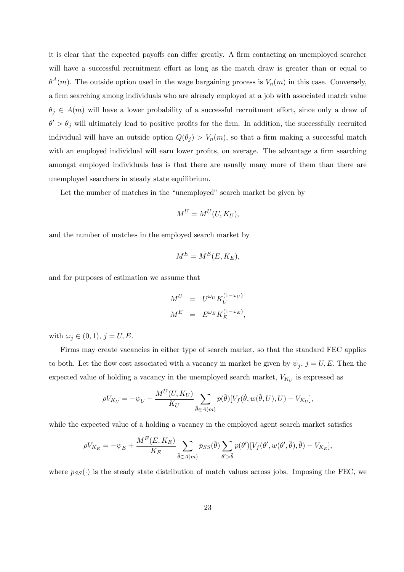it is clear that the expected payoffs can differ greatly. A firm contacting an unemployed searcher will have a successful recruitment effort as long as the match draw is greater than or equal to  $\theta^A(m)$ . The outside option used in the wage bargaining process is  $V_n(m)$  in this case. Conversely, a firm searching among individuals who are already employed at a job with associated match value  $\theta_j \in A(m)$  will have a lower probability of a successful recruitment effort, since only a draw of  $\theta' > \theta_j$  will ultimately lead to positive profits for the firm. In addition, the successfully recruited individual will have an outside option  $Q(\theta_j) > V_n(m)$ , so that a firm making a successful match with an employed individual will earn lower profits, on average. The advantage a firm searching amongst employed individuals has is that there are usually many more of them than there are unemployed searchers in steady state equilibrium.

Let the number of matches in the "unemployed" search market be given by

$$
M^U = M^U(U, K_U),
$$

and the number of matches in the employed search market by

$$
M^E = M^E(E, K_E),
$$

and for purposes of estimation we assume that

$$
M^{U} = U^{\omega_{U}} K_{U}^{(1-\omega_{U})}
$$
  

$$
M^{E} = E^{\omega_{E}} K_{E}^{(1-\omega_{E})},
$$

with  $\omega_j \in (0,1), j = U, E$ .

Firms may create vacancies in either type of search market, so that the standard FEC applies to both. Let the flow cost associated with a vacancy in market be given by  $\psi_j$ ,  $j = U, E$ . Then the expected value of holding a vacancy in the unemployed search market,  $V_{K_U}$  is expressed as

$$
\rho V_{K_U} = -\psi_U + \frac{M^U(U, K_U)}{K_U} \sum_{\tilde{\theta} \in A(m)} p(\tilde{\theta}) [V_f(\tilde{\theta}, w(\tilde{\theta}, U), U) - V_{K_U}],
$$

while the expected value of a holding a vacancy in the employed agent search market satisfies

$$
\rho V_{K_E} = -\psi_E + \frac{M^E(E, K_E)}{K_E} \sum_{\tilde{\theta} \in A(m)} p_{SS}(\tilde{\theta}) \sum_{\theta' > \tilde{\theta}} p(\theta') [V_f(\theta', w(\theta', \tilde{\theta}), \tilde{\theta}) - V_{K_E}],
$$

where  $p_{SS}(\cdot)$  is the steady state distribution of match values across jobs. Imposing the FEC, we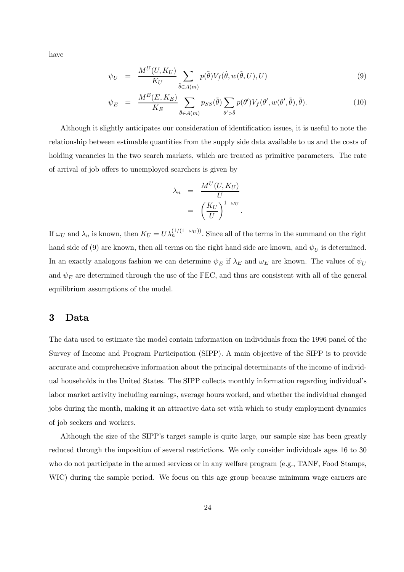have

$$
\psi_U = \frac{M^U(U, K_U)}{K_U} \sum_{\tilde{\theta} \in A(m)} p(\tilde{\theta}) V_f(\tilde{\theta}, w(\tilde{\theta}, U), U) \tag{9}
$$

$$
\psi_E = \frac{M^E(E, K_E)}{K_E} \sum_{\tilde{\theta} \in A(m)} p_{SS}(\tilde{\theta}) \sum_{\theta' > \tilde{\theta}} p(\theta') V_f(\theta', w(\theta', \tilde{\theta}), \tilde{\theta}). \tag{10}
$$

Although it slightly anticipates our consideration of identification issues, it is useful to note the relationship between estimable quantities from the supply side data available to us and the costs of holding vacancies in the two search markets, which are treated as primitive parameters. The rate of arrival of job offers to unemployed searchers is given by

$$
\lambda_n = \frac{M^U(U, K_U)}{U}
$$

$$
= \left(\frac{K_U}{U}\right)^{1-\omega_U}.
$$

If  $\omega_U$  and  $\lambda_n$  is known, then  $K_U = U \lambda_n^{(1/(1-\omega_U))}$ . Since all of the terms in the summand on the right hand side of (9) are known, then all terms on the right hand side are known, and  $\psi_U$  is determined. In an exactly analogous fashion we can determine  $\psi_E$  if  $\lambda_E$  and  $\omega_E$  are known. The values of  $\psi_U$ and  $\psi_E$  are determined through the use of the FEC, and thus are consistent with all of the general equilibrium assumptions of the model.

## 3 Data

The data used to estimate the model contain information on individuals from the 1996 panel of the Survey of Income and Program Participation (SIPP). A main objective of the SIPP is to provide accurate and comprehensive information about the principal determinants of the income of individual households in the United States. The SIPP collects monthly information regarding individual's labor market activity including earnings, average hours worked, and whether the individual changed jobs during the month, making it an attractive data set with which to study employment dynamics of job seekers and workers.

Although the size of the SIPP's target sample is quite large, our sample size has been greatly reduced through the imposition of several restrictions. We only consider individuals ages 16 to 30 who do not participate in the armed services or in any welfare program (e.g., TANF, Food Stamps, WIC) during the sample period. We focus on this age group because minimum wage earners are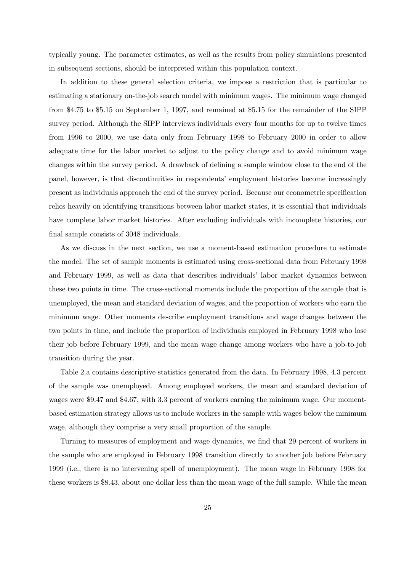typically young. The parameter estimates, as well as the results from policy simulations presented in subsequent sections, should be interpreted within this population context.

In addition to these general selection criteria, we impose a restriction that is particular to estimating a stationary on-the-job search model with minimum wages. The minimum wage changed from \$4.75 to \$5.15 on September 1, 1997, and remained at \$5.15 for the remainder of the SIPP survey period. Although the SIPP interviews individuals every four months for up to twelve times from 1996 to 2000, we use data only from February 1998 to February 2000 in order to allow adequate time for the labor market to adjust to the policy change and to avoid minimum wage changes within the survey period. A drawback of defining a sample window close to the end of the panel, however, is that discontinuities in respondents' employment histories become increasingly present as individuals approach the end of the survey period. Because our econometric specification relies heavily on identifying transitions between labor market states, it is essential that individuals have complete labor market histories. After excluding individuals with incomplete histories, our final sample consists of 3048 individuals.

As we discuss in the next section, we use a moment-based estimation procedure to estimate the model. The set of sample moments is estimated using cross-sectional data from February 1998 and February 1999, as well as data that describes individuals' labor market dynamics between these two points in time. The cross-sectional moments include the proportion of the sample that is unemployed, the mean and standard deviation of wages, and the proportion of workers who earn the minimum wage. Other moments describe employment transitions and wage changes between the two points in time, and include the proportion of individuals employed in February 1998 who lose their job before February 1999, and the mean wage change among workers who have a job-to-job transition during the year.

Table 2.a contains descriptive statistics generated from the data. In February 1998, 4.3 percent of the sample was unemployed. Among employed workers, the mean and standard deviation of wages were \$9.47 and \$4.67, with 3.3 percent of workers earning the minimum wage. Our momentbased estimation strategy allows us to include workers in the sample with wages below the minimum wage, although they comprise a very small proportion of the sample.

Turning to measures of employment and wage dynamics, we find that 29 percent of workers in the sample who are employed in February 1998 transition directly to another job before February 1999 (i.e., there is no intervening spell of unemployment). The mean wage in February 1998 for these workers is \$8.43, about one dollar less than the mean wage of the full sample. While the mean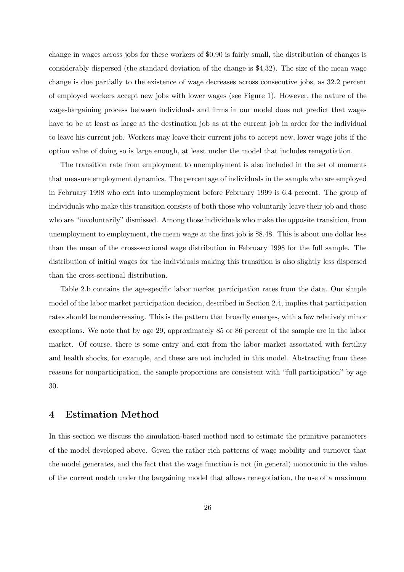change in wages across jobs for these workers of \$0.90 is fairly small, the distribution of changes is considerably dispersed (the standard deviation of the change is \$4.32). The size of the mean wage change is due partially to the existence of wage decreases across consecutive jobs, as 32.2 percent of employed workers accept new jobs with lower wages (see Figure 1). However, the nature of the wage-bargaining process between individuals and firms in our model does not predict that wages have to be at least as large at the destination job as at the current job in order for the individual to leave his current job. Workers may leave their current jobs to accept new, lower wage jobs if the option value of doing so is large enough, at least under the model that includes renegotiation.

The transition rate from employment to unemployment is also included in the set of moments that measure employment dynamics. The percentage of individuals in the sample who are employed in February 1998 who exit into unemployment before February 1999 is 6.4 percent. The group of individuals who make this transition consists of both those who voluntarily leave their job and those who are "involuntarily" dismissed. Among those individuals who make the opposite transition, from unemployment to employment, the mean wage at the first job is \$8.48. This is about one dollar less than the mean of the cross-sectional wage distribution in February 1998 for the full sample. The distribution of initial wages for the individuals making this transition is also slightly less dispersed than the cross-sectional distribution.

Table 2.b contains the age-specific labor market participation rates from the data. Our simple model of the labor market participation decision, described in Section 2.4, implies that participation rates should be nondecreasing. This is the pattern that broadly emerges, with a few relatively minor exceptions. We note that by age 29, approximately 85 or 86 percent of the sample are in the labor market. Of course, there is some entry and exit from the labor market associated with fertility and health shocks, for example, and these are not included in this model. Abstracting from these reasons for nonparticipation, the sample proportions are consistent with "full participation" by age 30.

## 4 Estimation Method

In this section we discuss the simulation-based method used to estimate the primitive parameters of the model developed above. Given the rather rich patterns of wage mobility and turnover that the model generates, and the fact that the wage function is not (in general) monotonic in the value of the current match under the bargaining model that allows renegotiation, the use of a maximum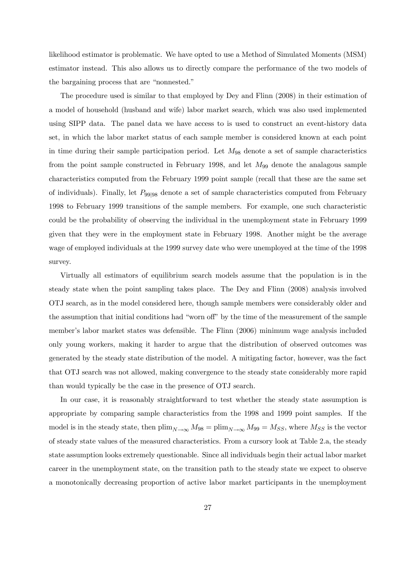likelihood estimator is problematic. We have opted to use a Method of Simulated Moments (MSM) estimator instead. This also allows us to directly compare the performance of the two models of the bargaining process that are "nonnested."

The procedure used is similar to that employed by Dey and Flinn (2008) in their estimation of a model of household (husband and wife) labor market search, which was also used implemented using SIPP data. The panel data we have access to is used to construct an event-history data set, in which the labor market status of each sample member is considered known at each point in time during their sample participation period. Let  $M_{98}$  denote a set of sample characteristics from the point sample constructed in February 1998, and let  $M_{99}$  denote the analagous sample characteristics computed from the February 1999 point sample (recall that these are the same set of individuals). Finally, let  $P_{99|98}$  denote a set of sample characteristics computed from February 1998 to February 1999 transitions of the sample members. For example, one such characteristic could be the probability of observing the individual in the unemployment state in February 1999 given that they were in the employment state in February 1998. Another might be the average wage of employed individuals at the 1999 survey date who were unemployed at the time of the 1998 survey.

Virtually all estimators of equilibrium search models assume that the population is in the steady state when the point sampling takes place. The Dey and Flinn (2008) analysis involved OTJ search, as in the model considered here, though sample members were considerably older and the assumption that initial conditions had "worn off" by the time of the measurement of the sample member's labor market states was defensible. The Flinn (2006) minimum wage analysis included only young workers, making it harder to argue that the distribution of observed outcomes was generated by the steady state distribution of the model. A mitigating factor, however, was the fact that OTJ search was not allowed, making convergence to the steady state considerably more rapid than would typically be the case in the presence of OTJ search.

In our case, it is reasonably straightforward to test whether the steady state assumption is appropriate by comparing sample characteristics from the 1998 and 1999 point samples. If the model is in the steady state, then  $\lim_{N\to\infty}M_{98} = \lim_{N\to\infty}M_{99} = M_{SS}$ , where  $M_{SS}$  is the vector of steady state values of the measured characteristics. From a cursory look at Table 2.a, the steady state assumption looks extremely questionable. Since all individuals begin their actual labor market career in the unemployment state, on the transition path to the steady state we expect to observe a monotonically decreasing proportion of active labor market participants in the unemployment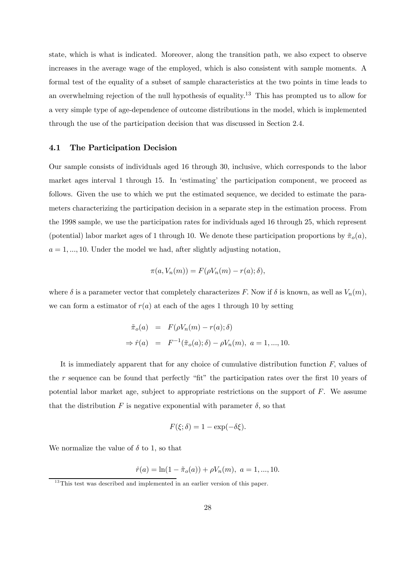state, which is what is indicated. Moreover, along the transition path, we also expect to observe increases in the average wage of the employed, which is also consistent with sample moments. A formal test of the equality of a subset of sample characteristics at the two points in time leads to an overwhelming rejection of the null hypothesis of equality.13 This has prompted us to allow for a very simple type of age-dependence of outcome distributions in the model, which is implemented through the use of the participation decision that was discussed in Section 2.4.

#### 4.1 The Participation Decision

Our sample consists of individuals aged 16 through 30, inclusive, which corresponds to the labor market ages interval 1 through 15. In 'estimating' the participation component, we proceed as follows. Given the use to which we put the estimated sequence, we decided to estimate the parameters characterizing the participation decision in a separate step in the estimation process. From the 1998 sample, we use the participation rates for individuals aged 16 through 25, which represent (potential) labor market ages of 1 through 10. We denote these participation proportions by  $\tilde{\pi}_{o}(a)$ ,  $a = 1, \ldots, 10$ . Under the model we had, after slightly adjusting notation,

$$
\pi(a, V_n(m)) = F(\rho V_n(m) - r(a); \delta),
$$

where  $\delta$  is a parameter vector that completely characterizes F. Now if  $\delta$  is known, as well as  $V_n(m)$ , we can form a estimator of  $r(a)$  at each of the ages 1 through 10 by setting

$$
\tilde{\pi}_o(a) = F(\rho V_n(m) - r(a); \delta)
$$
  
\n
$$
\Rightarrow \hat{r}(a) = F^{-1}(\tilde{\pi}_o(a); \delta) - \rho V_n(m), \ a = 1, ..., 10.
$$

It is immediately apparent that for any choice of cumulative distribution function  $F$ , values of the r sequence can be found that perfectly "fit" the participation rates over the first 10 years of potential labor market age, subject to appropriate restrictions on the support of  $F$ . We assume that the distribution F is negative exponential with parameter  $\delta$ , so that

$$
F(\xi;\delta) = 1 - \exp(-\delta\xi).
$$

We normalize the value of  $\delta$  to 1, so that

$$
\hat{r}(a) = \ln(1 - \tilde{\pi}_o(a)) + \rho V_n(m), \ a = 1, ..., 10.
$$

<sup>&</sup>lt;sup>13</sup>This test was described and implemented in an earlier version of this paper.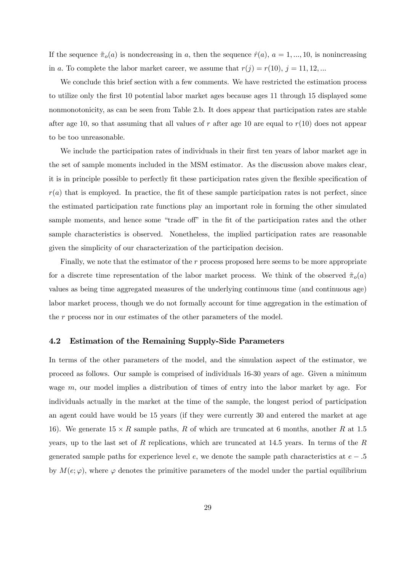If the sequence  $\tilde{\pi}_{o}(a)$  is nondecreasing in a, then the sequence  $\hat{r}(a)$ ,  $a = 1, ..., 10$ , is nonincreasing in a. To complete the labor market career, we assume that  $r(j) = r(10)$ ,  $j = 11, 12, ...$ 

We conclude this brief section with a few comments. We have restricted the estimation process to utilize only the first 10 potential labor market ages because ages 11 through 15 displayed some nonmonotonicity, as can be seen from Table 2.b. It does appear that participation rates are stable after age 10, so that assuming that all values of r after age 10 are equal to  $r(10)$  does not appear to be too unreasonable.

We include the participation rates of individuals in their first ten years of labor market age in the set of sample moments included in the MSM estimator. As the discussion above makes clear, it is in principle possible to perfectly fit these participation rates given the flexible specification of  $r(a)$  that is employed. In practice, the fit of these sample participation rates is not perfect, since the estimated participation rate functions play an important role in forming the other simulated sample moments, and hence some "trade off" in the fit of the participation rates and the other sample characteristics is observed. Nonetheless, the implied participation rates are reasonable given the simplicity of our characterization of the participation decision.

Finally, we note that the estimator of the r process proposed here seems to be more appropriate for a discrete time representation of the labor market process. We think of the observed  $\tilde{\pi}_{o}(a)$ values as being time aggregated measures of the underlying continuous time (and continuous age) labor market process, though we do not formally account for time aggregation in the estimation of the r process nor in our estimates of the other parameters of the model.

#### 4.2 Estimation of the Remaining Supply-Side Parameters

In terms of the other parameters of the model, and the simulation aspect of the estimator, we proceed as follows. Our sample is comprised of individuals 16-30 years of age. Given a minimum wage  $m$ , our model implies a distribution of times of entry into the labor market by age. For individuals actually in the market at the time of the sample, the longest period of participation an agent could have would be 15 years (if they were currently 30 and entered the market at age 16). We generate  $15 \times R$  sample paths, R of which are truncated at 6 months, another R at 1.5 years, up to the last set of  $R$  replications, which are truncated at 14.5 years. In terms of the  $R$ generated sample paths for experience level  $e$ , we denote the sample path characteristics at  $e - 0.5$ by  $M(e; \varphi)$ , where  $\varphi$  denotes the primitive parameters of the model under the partial equilibrium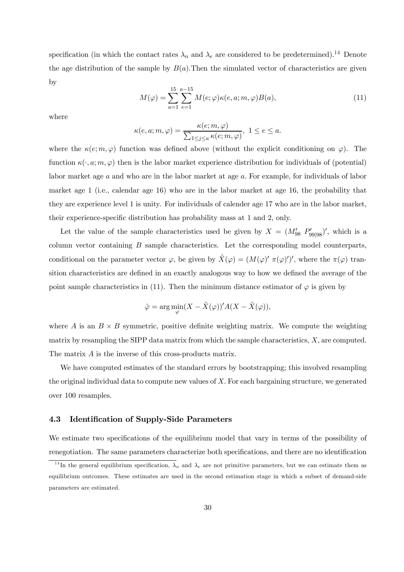specification (in which the contact rates  $\lambda_n$  and  $\lambda_e$  are considered to be predetermined).<sup>14</sup> Denote the age distribution of the sample by  $B(a)$ . Then the simulated vector of characteristics are given by

$$
M(\varphi) = \sum_{a=1}^{15} \sum_{e=1}^{a-15} M(e; \varphi) \kappa(e, a; m, \varphi) B(a), \tag{11}
$$

where

$$
\kappa(e, a; m, \varphi) = \frac{\kappa(e; m, \varphi)}{\sum_{1 \le j \le a} \kappa(e; m, \varphi)}, \ 1 \le e \le a.
$$

where the  $\kappa(e; m, \varphi)$  function was defined above (without the explicit conditioning on  $\varphi$ ). The function  $\kappa(\cdot, a; m, \varphi)$  then is the labor market experience distribution for individuals of (potential) labor market age a and who are in the labor market at age a. For example, for individuals of labor market age 1 (i.e., calendar age 16) who are in the labor market at age 16, the probability that they are experience level 1 is unity. For individuals of calender age 17 who are in the labor market, their experience-specific distribution has probability mass at 1 and 2, only.

Let the value of the sample characteristics used be given by  $X = (M'_{98} P'_{99|98})'$ , which is a column vector containing B sample characteristics. Let the corresponding model counterparts, conditional on the parameter vector  $\varphi$ , be given by  $\tilde{X}(\varphi) = (M(\varphi)' \pi(\varphi)')'$ , where the  $\pi(\varphi)$  transition characteristics are defined in an exactly analogous way to how we defined the average of the point sample characteristics in (11). Then the minimum distance estimator of  $\varphi$  is given by

$$
\hat{\varphi} = \arg\min_{\varphi} (X - \tilde{X}(\varphi))' A(X - \tilde{X}(\varphi)),
$$

where A is an  $B \times B$  symmetric, positive definite weighting matrix. We compute the weighting matrix by resampling the SIPP data matrix from which the sample characteristics,  $X$ , are computed. The matrix A is the inverse of this cross-products matrix.

We have computed estimates of the standard errors by bootstrapping; this involved resampling the original individual data to compute new values of  $X$ . For each bargaining structure, we generated over 100 resamples.

#### 4.3 Identification of Supply-Side Parameters

We estimate two specifications of the equilibrium model that vary in terms of the possibility of renegotiation. The same parameters characterize both specifications, and there are no identification

<sup>&</sup>lt;sup>14</sup>In the general equilibrium specification,  $\lambda_n$  and  $\lambda_e$  are not primitive parameters, but we can estimate them as equilibrium outcomes. These estimates are used in the second estimation stage in which a subset of demand-side parameters are estimated.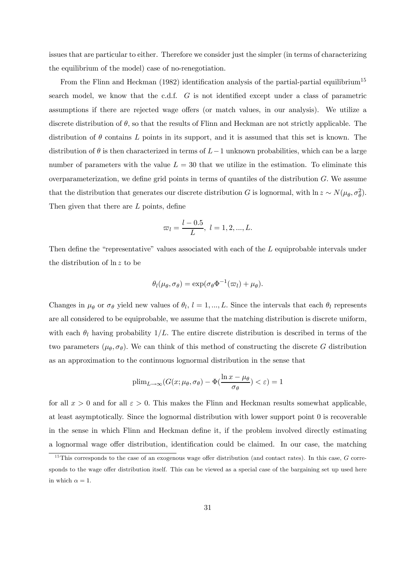issues that are particular to either. Therefore we consider just the simpler (in terms of characterizing the equilibrium of the model) case of no-renegotiation.

From the Flinn and Heckman (1982) identification analysis of the partial-partial equilibrium<sup>15</sup> search model, we know that the c.d.f. G is not identified except under a class of parametric assumptions if there are rejected wage offers (or match values, in our analysis). We utilize a discrete distribution of  $\theta$ , so that the results of Flinn and Heckman are not strictly applicable. The distribution of  $\theta$  contains L points in its support, and it is assumed that this set is known. The distribution of  $\theta$  is then characterized in terms of  $L-1$  unknown probabilities, which can be a large number of parameters with the value  $L = 30$  that we utilize in the estimation. To eliminate this overparameterization, we define grid points in terms of quantiles of the distribution  $G$ . We assume that the distribution that generates our discrete distribution G is lognormal, with  $\ln z \sim N(\mu_{\theta}, \sigma_{\theta}^2)$ . Then given that there are L points, define

$$
\varpi_l = \frac{l - 0.5}{L}, \ l = 1, 2, ..., L.
$$

Then define the "representative" values associated with each of the L equiprobable intervals under the distribution of ln z to be

$$
\theta_l(\mu_\theta, \sigma_\theta) = \exp(\sigma_\theta \Phi^{-1}(\varpi_l) + \mu_\theta).
$$

Changes in  $\mu_{\theta}$  or  $\sigma_{\theta}$  yield new values of  $\theta_l$ ,  $l = 1, ..., L$ . Since the intervals that each  $\theta_l$  represents are all considered to be equiprobable, we assume that the matching distribution is discrete uniform, with each  $\theta_l$  having probability  $1/L$ . The entire discrete distribution is described in terms of the two parameters  $(\mu_{\theta}, \sigma_{\theta})$ . We can think of this method of constructing the discrete G distribution as an approximation to the continuous lognormal distribution in the sense that

$$
\text{plim}_{L\to\infty}(G(x;\mu_{\theta},\sigma_{\theta})-\Phi(\frac{\ln x-\mu_{\theta}}{\sigma_{\theta}})<\varepsilon)=1
$$

for all  $x > 0$  and for all  $\varepsilon > 0$ . This makes the Flinn and Heckman results somewhat applicable, at least asymptotically. Since the lognormal distribution with lower support point 0 is recoverable in the sense in which Flinn and Heckman define it, if the problem involved directly estimating a lognormal wage offer distribution, identification could be claimed. In our case, the matching

 $15$ This corresponds to the case of an exogenous wage offer distribution (and contact rates). In this case, G corresponds to the wage offer distribution itself. This can be viewed as a special case of the bargaining set up used here in which  $\alpha = 1$ .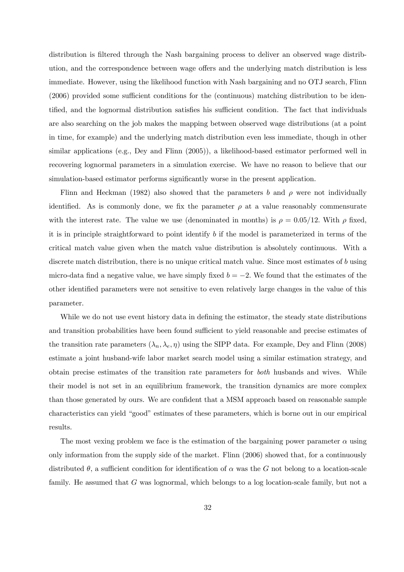distribution is filtered through the Nash bargaining process to deliver an observed wage distribution, and the correspondence between wage offers and the underlying match distribution is less immediate. However, using the likelihood function with Nash bargaining and no OTJ search, Flinn (2006) provided some sufficient conditions for the (continuous) matching distribution to be identified, and the lognormal distribution satisfies his sufficient condition. The fact that individuals are also searching on the job makes the mapping between observed wage distributions (at a point in time, for example) and the underlying match distribution even less immediate, though in other similar applications (e.g., Dey and Flinn (2005)), a likelihood-based estimator performed well in recovering lognormal parameters in a simulation exercise. We have no reason to believe that our simulation-based estimator performs significantly worse in the present application.

Flinn and Heckman (1982) also showed that the parameters b and  $\rho$  were not individually identified. As is commonly done, we fix the parameter  $\rho$  at a value reasonably commensurate with the interest rate. The value we use (denominated in months) is  $\rho = 0.05/12$ . With  $\rho$  fixed, it is in principle straightforward to point identify  $b$  if the model is parameterized in terms of the critical match value given when the match value distribution is absolutely continuous. With a discrete match distribution, there is no unique critical match value. Since most estimates of b using micro-data find a negative value, we have simply fixed  $b = -2$ . We found that the estimates of the other identified parameters were not sensitive to even relatively large changes in the value of this parameter.

While we do not use event history data in defining the estimator, the steady state distributions and transition probabilities have been found sufficient to yield reasonable and precise estimates of the transition rate parameters  $(\lambda_n, \lambda_e, \eta)$  using the SIPP data. For example, Dey and Flinn (2008) estimate a joint husband-wife labor market search model using a similar estimation strategy, and obtain precise estimates of the transition rate parameters for both husbands and wives. While their model is not set in an equilibrium framework, the transition dynamics are more complex than those generated by ours. We are confident that a MSM approach based on reasonable sample characteristics can yield "good" estimates of these parameters, which is borne out in our empirical results.

The most vexing problem we face is the estimation of the bargaining power parameter  $\alpha$  using only information from the supply side of the market. Flinn (2006) showed that, for a continuously distributed  $\theta$ , a sufficient condition for identification of  $\alpha$  was the G not belong to a location-scale family. He assumed that G was lognormal, which belongs to a log location-scale family, but not a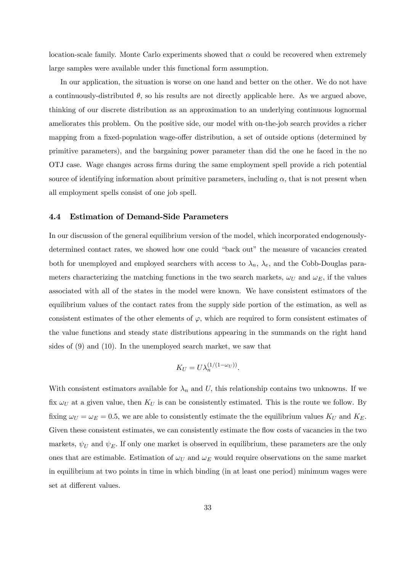location-scale family. Monte Carlo experiments showed that  $\alpha$  could be recovered when extremely large samples were available under this functional form assumption.

In our application, the situation is worse on one hand and better on the other. We do not have a continuously-distributed  $\theta$ , so his results are not directly applicable here. As we argued above, thinking of our discrete distribution as an approximation to an underlying continuous lognormal ameliorates this problem. On the positive side, our model with on-the-job search provides a richer mapping from a fixed-population wage-offer distribution, a set of outside options (determined by primitive parameters), and the bargaining power parameter than did the one he faced in the no OTJ case. Wage changes across firms during the same employment spell provide a rich potential source of identifying information about primitive parameters, including  $\alpha$ , that is not present when all employment spells consist of one job spell.

#### 4.4 Estimation of Demand-Side Parameters

In our discussion of the general equilibrium version of the model, which incorporated endogenouslydetermined contact rates, we showed how one could "back out" the measure of vacancies created both for unemployed and employed searchers with access to  $\lambda_n$ ,  $\lambda_e$ , and the Cobb-Douglas parameters characterizing the matching functions in the two search markets,  $\omega_U$  and  $\omega_E$ , if the values associated with all of the states in the model were known. We have consistent estimators of the equilibrium values of the contact rates from the supply side portion of the estimation, as well as consistent estimates of the other elements of  $\varphi$ , which are required to form consistent estimates of the value functions and steady state distributions appearing in the summands on the right hand sides of (9) and (10). In the unemployed search market, we saw that

$$
K_U = U \lambda_n^{(1/(1-\omega_U))}.
$$

With consistent estimators available for  $\lambda_n$  and U, this relationship contains two unknowns. If we fix  $\omega_U$  at a given value, then  $K_U$  is can be consistently estimated. This is the route we follow. By fixing  $\omega_U = \omega_E = 0.5$ , we are able to consistently estimate the the equilibrium values  $K_U$  and  $K_E$ . Given these consistent estimates, we can consistently estimate the flow costs of vacancies in the two markets,  $\psi_U$  and  $\psi_E$ . If only one market is observed in equilibrium, these parameters are the only ones that are estimable. Estimation of  $\omega_U$  and  $\omega_E$  would require observations on the same market in equilibrium at two points in time in which binding (in at least one period) minimum wages were set at different values.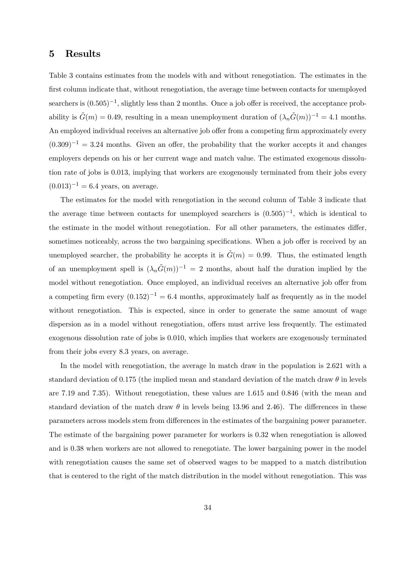## 5 Results

Table 3 contains estimates from the models with and without renegotiation. The estimates in the first column indicate that, without renegotiation, the average time between contacts for unemployed searchers is  $(0.505)^{-1}$ , slightly less than 2 months. Once a job offer is received, the acceptance probability is  $\tilde{G}(m)=0.49$ , resulting in a mean unemployment duration of  $(\lambda_n\tilde{G}(m))^{-1}=4.1$  months. An employed individual receives an alternative job offer from a competing firm approximately every  $(0.309)^{-1} = 3.24$  months. Given an offer, the probability that the worker accepts it and changes employers depends on his or her current wage and match value. The estimated exogenous dissolution rate of jobs is 0.013, implying that workers are exogenously terminated from their jobs every  $(0.013)^{-1} = 6.4$  years, on average.

The estimates for the model with renegotiation in the second column of Table 3 indicate that the average time between contacts for unemployed searchers is  $(0.505)^{-1}$ , which is identical to the estimate in the model without renegotiation. For all other parameters, the estimates differ, sometimes noticeably, across the two bargaining specifications. When a job offer is received by an unemployed searcher, the probability he accepts it is  $G(m)=0.99$ . Thus, the estimated length of an unemployment spell is  $(\lambda_n\tilde{G}(m))^{-1} = 2$  months, about half the duration implied by the model without renegotiation. Once employed, an individual receives an alternative job offer from a competing firm every  $(0.152)^{-1} = 6.4$  months, approximately half as frequently as in the model without renegotiation. This is expected, since in order to generate the same amount of wage dispersion as in a model without renegotiation, offers must arrive less frequently. The estimated exogenous dissolution rate of jobs is 0.010, which implies that workers are exogenously terminated from their jobs every 8.3 years, on average.

In the model with renegotiation, the average ln match draw in the population is 2.621 with a standard deviation of 0.175 (the implied mean and standard deviation of the match draw  $\theta$  in levels are 7.19 and 7.35). Without renegotiation, these values are 1.615 and 0.846 (with the mean and standard deviation of the match draw  $\theta$  in levels being 13.96 and 2.46). The differences in these parameters across models stem from differences in the estimates of the bargaining power parameter. The estimate of the bargaining power parameter for workers is 0.32 when renegotiation is allowed and is 0.38 when workers are not allowed to renegotiate. The lower bargaining power in the model with renegotiation causes the same set of observed wages to be mapped to a match distribution that is centered to the right of the match distribution in the model without renegotiation. This was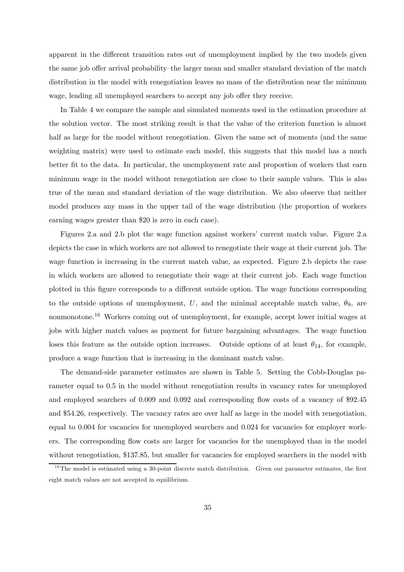apparent in the different transition rates out of unemployment implied by the two models given the same job offer arrival probability—the larger mean and smaller standard deviation of the match distribution in the model with renegotiation leaves no mass of the distribution near the minimum wage, leading all unemployed searchers to accept any job offer they receive.

In Table 4 we compare the sample and simulated moments used in the estimation procedure at the solution vector. The most striking result is that the value of the criterion function is almost half as large for the model without renegotiation. Given the same set of moments (and the same weighting matrix) were used to estimate each model, this suggests that this model has a much better fit to the data. In particular, the unemployment rate and proportion of workers that earn minimum wage in the model without renegotiation are close to their sample values. This is also true of the mean and standard deviation of the wage distribution. We also observe that neither model produces any mass in the upper tail of the wage distribution (the proportion of workers earning wages greater than \$20 is zero in each case).

Figures 2.a and 2.b plot the wage function against workers' current match value. Figure 2.a depicts the case in which workers are not allowed to renegotiate their wage at their current job. The wage function is increasing in the current match value, as expected. Figure 2.b depicts the case in which workers are allowed to renegotiate their wage at their current job. Each wage function plotted in this figure corresponds to a different outside option. The wage functions corresponding to the outside options of unemployment, U, and the minimal acceptable match value,  $\theta_9$ , are nonmonotone.<sup>16</sup> Workers coming out of unemployment, for example, accept lower initial wages at jobs with higher match values as payment for future bargaining advantages. The wage function loses this feature as the outside option increases. Outside options of at least  $\theta_{14}$ , for example, produce a wage function that is increasing in the dominant match value.

The demand-side parameter estimates are shown in Table 5. Setting the Cobb-Douglas parameter equal to 0.5 in the model without renegotiation results in vacancy rates for unemployed and employed searchers of 0.009 and 0.092 and corresponding flow costs of a vacancy of \$92.45 and \$54.26, respectively. The vacancy rates are over half as large in the model with renegotiation, equal to 0.004 for vacancies for unemployed searchers and 0.024 for vacancies for employer workers. The corresponding flow costs are larger for vacancies for the unemployed than in the model without renegotiation, \$137.85, but smaller for vacancies for employed searchers in the model with

 $16$ The model is estimated using a 30-point discrete match distribution. Given our parameter estimates, the first eight match values are not accepted in equilibrium.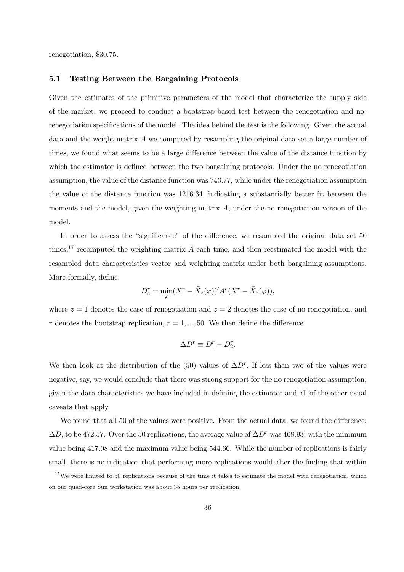renegotiation, \$30.75.

#### 5.1 Testing Between the Bargaining Protocols

Given the estimates of the primitive parameters of the model that characterize the supply side of the market, we proceed to conduct a bootstrap-based test between the renegotiation and norenegotiation specifications of the model. The idea behind the test is the following. Given the actual data and the weight-matrix A we computed by resampling the original data set a large number of times, we found what seems to be a large difference between the value of the distance function by which the estimator is defined between the two bargaining protocols. Under the no renegotiation assumption, the value of the distance function was 743.77, while under the renegotiation assumption the value of the distance function was 1216.34, indicating a substantially better fit between the moments and the model, given the weighting matrix  $A$ , under the no renegotiation version of the model.

In order to assess the "significance" of the difference, we resampled the original data set 50 times,<sup>17</sup> recomputed the weighting matrix  $A$  each time, and then reestimated the model with the resampled data characteristics vector and weighting matrix under both bargaining assumptions. More formally, define

$$
D_z^r = \min_{\varphi} (X^r - \tilde{X}_z(\varphi))^{\prime} A^r (X^r - \tilde{X}_z(\varphi)),
$$

where  $z = 1$  denotes the case of renegotiation and  $z = 2$  denotes the case of no renegotiation, and r denotes the bootstrap replication,  $r = 1, ..., 50$ . We then define the difference

$$
\Delta D^r \equiv D_1^r - D_2^r.
$$

We then look at the distribution of the (50) values of  $\Delta D^r$ . If less than two of the values were negative, say, we would conclude that there was strong support for the no renegotiation assumption, given the data characteristics we have included in defining the estimator and all of the other usual caveats that apply.

We found that all 50 of the values were positive. From the actual data, we found the difference,  $\Delta D$ , to be 472.57. Over the 50 replications, the average value of  $\Delta D^r$  was 468.93, with the minimum value being 417.08 and the maximum value being 544.66. While the number of replications is fairly small, there is no indication that performing more replications would alter the finding that within

 $17$  We were limited to 50 replications because of the time it takes to estimate the model with renegotiation, which on our quad-core Sun workstation was about 35 hours per replication.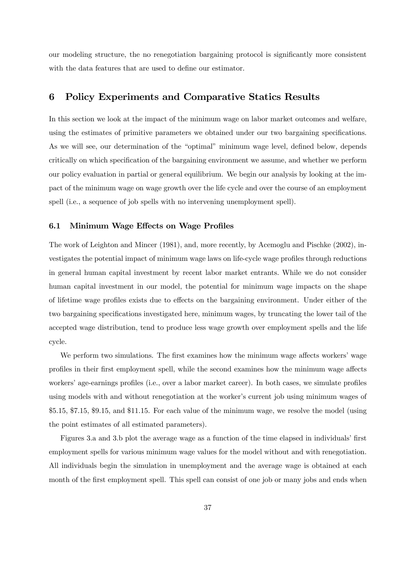our modeling structure, the no renegotiation bargaining protocol is significantly more consistent with the data features that are used to define our estimator.

## 6 Policy Experiments and Comparative Statics Results

In this section we look at the impact of the minimum wage on labor market outcomes and welfare, using the estimates of primitive parameters we obtained under our two bargaining specifications. As we will see, our determination of the "optimal" minimum wage level, defined below, depends critically on which specification of the bargaining environment we assume, and whether we perform our policy evaluation in partial or general equilibrium. We begin our analysis by looking at the impact of the minimum wage on wage growth over the life cycle and over the course of an employment spell (i.e., a sequence of job spells with no intervening unemployment spell).

#### 6.1 Minimum Wage Effects on Wage Profiles

The work of Leighton and Mincer (1981), and, more recently, by Acemoglu and Pischke (2002), investigates the potential impact of minimum wage laws on life-cycle wage profiles through reductions in general human capital investment by recent labor market entrants. While we do not consider human capital investment in our model, the potential for minimum wage impacts on the shape of lifetime wage profiles exists due to effects on the bargaining environment. Under either of the two bargaining specifications investigated here, minimum wages, by truncating the lower tail of the accepted wage distribution, tend to produce less wage growth over employment spells and the life cycle.

We perform two simulations. The first examines how the minimum wage affects workers' wage profiles in their first employment spell, while the second examines how the minimum wage affects workers' age-earnings profiles (i.e., over a labor market career). In both cases, we simulate profiles using models with and without renegotiation at the worker's current job using minimum wages of \$5.15, \$7.15, \$9.15, and \$11.15. For each value of the minimum wage, we resolve the model (using the point estimates of all estimated parameters).

Figures 3.a and 3.b plot the average wage as a function of the time elapsed in individuals' first employment spells for various minimum wage values for the model without and with renegotiation. All individuals begin the simulation in unemployment and the average wage is obtained at each month of the first employment spell. This spell can consist of one job or many jobs and ends when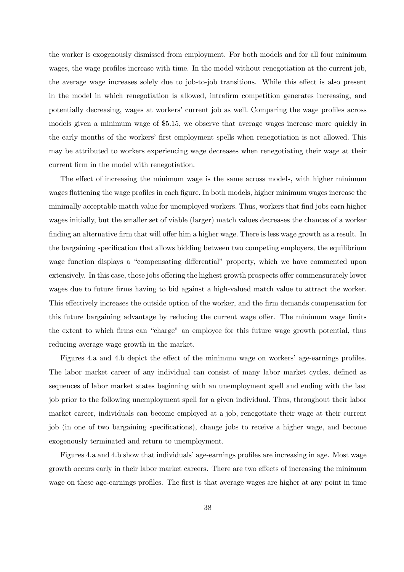the worker is exogenously dismissed from employment. For both models and for all four minimum wages, the wage profiles increase with time. In the model without renegotiation at the current job, the average wage increases solely due to job-to-job transitions. While this effect is also present in the model in which renegotiation is allowed, intrafirm competition generates increasing, and potentially decreasing, wages at workers' current job as well. Comparing the wage profiles across models given a minimum wage of \$5.15, we observe that average wages increase more quickly in the early months of the workers' first employment spells when renegotiation is not allowed. This may be attributed to workers experiencing wage decreases when renegotiating their wage at their current firm in the model with renegotiation.

The effect of increasing the minimum wage is the same across models, with higher minimum wages flattening the wage profiles in each figure. In both models, higher minimum wages increase the minimally acceptable match value for unemployed workers. Thus, workers that find jobs earn higher wages initially, but the smaller set of viable (larger) match values decreases the chances of a worker finding an alternative firm that will offer him a higher wage. There is less wage growth as a result. In the bargaining specification that allows bidding between two competing employers, the equilibrium wage function displays a "compensating differential" property, which we have commented upon extensively. In this case, those jobs offering the highest growth prospects offer commensurately lower wages due to future firms having to bid against a high-valued match value to attract the worker. This effectively increases the outside option of the worker, and the firm demands compensation for this future bargaining advantage by reducing the current wage offer. The minimum wage limits the extent to which firms can "charge" an employee for this future wage growth potential, thus reducing average wage growth in the market.

Figures 4.a and 4.b depict the effect of the minimum wage on workers' age-earnings profiles. The labor market career of any individual can consist of many labor market cycles, defined as sequences of labor market states beginning with an unemployment spell and ending with the last job prior to the following unemployment spell for a given individual. Thus, throughout their labor market career, individuals can become employed at a job, renegotiate their wage at their current job (in one of two bargaining specifications), change jobs to receive a higher wage, and become exogenously terminated and return to unemployment.

Figures 4.a and 4.b show that individuals' age-earnings profiles are increasing in age. Most wage growth occurs early in their labor market careers. There are two effects of increasing the minimum wage on these age-earnings profiles. The first is that average wages are higher at any point in time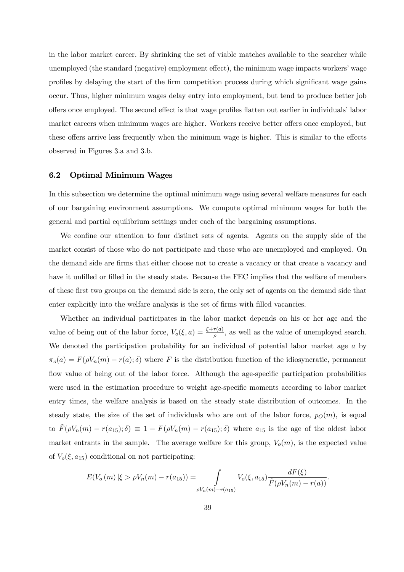in the labor market career. By shrinking the set of viable matches available to the searcher while unemployed (the standard (negative) employment effect), the minimum wage impacts workers' wage profiles by delaying the start of the firm competition process during which significant wage gains occur. Thus, higher minimum wages delay entry into employment, but tend to produce better job offers once employed. The second effect is that wage profiles flatten out earlier in individuals' labor market careers when minimum wages are higher. Workers receive better offers once employed, but these offers arrive less frequently when the minimum wage is higher. This is similar to the effects observed in Figures 3.a and 3.b.

#### 6.2 Optimal Minimum Wages

In this subsection we determine the optimal minimum wage using several welfare measures for each of our bargaining environment assumptions. We compute optimal minimum wages for both the general and partial equilibrium settings under each of the bargaining assumptions.

We confine our attention to four distinct sets of agents. Agents on the supply side of the market consist of those who do not participate and those who are unemployed and employed. On the demand side are firms that either choose not to create a vacancy or that create a vacancy and have it unfilled or filled in the steady state. Because the FEC implies that the welfare of members of these first two groups on the demand side is zero, the only set of agents on the demand side that enter explicitly into the welfare analysis is the set of firms with filled vacancies.

Whether an individual participates in the labor market depends on his or her age and the value of being out of the labor force,  $V_o(\xi, a) = \frac{\xi + r(a)}{\rho}$ , as well as the value of unemployed search. We denoted the participation probability for an individual of potential labor market age a by  $\pi_o(a) = F(\rho V_n(m) - r(a); \delta)$  where F is the distribution function of the idiosyncratic, permanent flow value of being out of the labor force. Although the age-specific participation probabilities were used in the estimation procedure to weight age-specific moments according to labor market entry times, the welfare analysis is based on the steady state distribution of outcomes. In the steady state, the size of the set of individuals who are out of the labor force,  $p<sub>O</sub>(m)$ , is equal to  $\tilde{F}(\rho V_n(m) - r(a_{15}); \delta) \equiv 1 - F(\rho V_n(m) - r(a_{15}); \delta)$  where  $a_{15}$  is the age of the oldest labor market entrants in the sample. The average welfare for this group,  $V_o(m)$ , is the expected value of  $V_o(\xi, a_{15})$  conditional on not participating:

$$
E(V_o(m) | \xi > \rho V_n(m) - r(a_{15})) = \int_{\rho V_n(m) - r(a_{15})} V_o(\xi, a_{15}) \frac{dF(\xi)}{\tilde{F}(\rho V_n(m) - r(a))}.
$$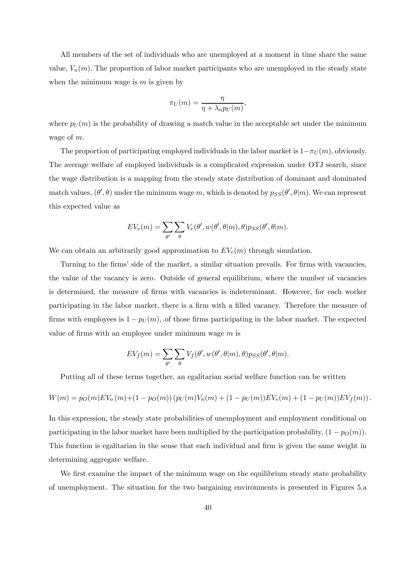All members of the set of individuals who are unemployed at a moment in time share the same value,  $V_n(m)$ . The proportion of labor market participants who are unemployed in the steady state when the minimum wage is  $m$  is given by

$$
\pi_U(m) = \frac{\eta}{\eta + \lambda_n p_U(m)},
$$

where  $p_U(m)$  is the probability of drawing a match value in the acceptable set under the minimum wage of m.

The proportion of participating employed individuals in the labor market is  $1-\pi_U(m)$ , obviously. The average welfare of employed individuals is a complicated expression under OTJ search, since the wage distribution is a mapping from the steady state distribution of dominant and dominated match values,  $(\theta', \theta)$  under the minimum wage m, which is denoted by  $p_{SS}(\theta', \theta|m)$ . We can represent this expected value as

$$
EV_e(m) = \sum_{\theta'} \sum_{\theta} V_e(\theta', w(\theta', \theta|m), \theta) p_{SS}(\theta', \theta|m).
$$

We can obtain an arbitrarily good approximation to  $EV_e(m)$  through simulation.

Turning to the firms' side of the market, a similar situation prevails. For firms with vacancies, the value of the vacancy is zero. Outside of general equilibrium, where the number of vacancies is determined, the measure of firms with vacancies is indeterminant. However, for each worker participating in the labor market, there is a firm with a filled vacancy. Therefore the measure of firms with employees is  $1 - p_U(m)$ , of those firms participating in the labor market. The expected value of firms with an employee under minimum wage  $m$  is

$$
EV_f(m) = \sum_{\theta'} \sum_{\theta} V_f(\theta', w(\theta', \theta|m), \theta) p_{SS}(\theta', \theta|m).
$$

Putting all of these terms together, an egalitarian social welfare function can be written

$$
W(m) = p_O(m)EV_o(m) + (1 - p_O(m)) (p_U(m)V_n(m) + (1 - p_U(m))EV_e(m) + (1 - p_U(m))EV_f(m)).
$$

In this expression, the steady state probabilities of unemployment and employment conditional on participating in the labor market have been multiplied by the participation probability,  $(1 - p<sub>O</sub>(m))$ . This function is egalitarian in the sense that each individual and firm is given the same weight in determining aggregate welfare.

We first examine the impact of the minimum wage on the equilibrium steady state probability of unemployment. The situation for the two bargaining environments is presented in Figures 5.a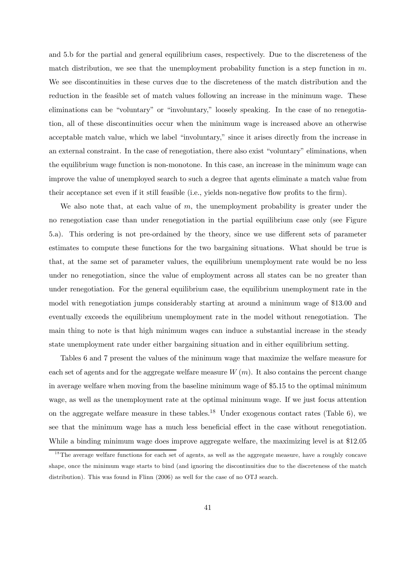and 5.b for the partial and general equilibrium cases, respectively. Due to the discreteness of the match distribution, we see that the unemployment probability function is a step function in  $m$ . We see discontinuities in these curves due to the discreteness of the match distribution and the reduction in the feasible set of match values following an increase in the minimum wage. These eliminations can be "voluntary" or "involuntary," loosely speaking. In the case of no renegotiation, all of these discontinuities occur when the minimum wage is increased above an otherwise acceptable match value, which we label "involuntary," since it arises directly from the increase in an external constraint. In the case of renegotiation, there also exist "voluntary" eliminations, when the equilibrium wage function is non-monotone. In this case, an increase in the minimum wage can improve the value of unemployed search to such a degree that agents eliminate a match value from their acceptance set even if it still feasible (i.e., yields non-negative flow profits to the firm).

We also note that, at each value of  $m$ , the unemployment probability is greater under the no renegotiation case than under renegotiation in the partial equilibrium case only (see Figure 5.a). This ordering is not pre-ordained by the theory, since we use different sets of parameter estimates to compute these functions for the two bargaining situations. What should be true is that, at the same set of parameter values, the equilibrium unemployment rate would be no less under no renegotiation, since the value of employment across all states can be no greater than under renegotiation. For the general equilibrium case, the equilibrium unemployment rate in the model with renegotiation jumps considerably starting at around a minimum wage of \$13.00 and eventually exceeds the equilibrium unemployment rate in the model without renegotiation. The main thing to note is that high minimum wages can induce a substantial increase in the steady state unemployment rate under either bargaining situation and in either equilibrium setting.

Tables 6 and 7 present the values of the minimum wage that maximize the welfare measure for each set of agents and for the aggregate welfare measure  $W(m)$ . It also contains the percent change in average welfare when moving from the baseline minimum wage of \$5.15 to the optimal minimum wage, as well as the unemployment rate at the optimal minimum wage. If we just focus attention on the aggregate welfare measure in these tables.<sup>18</sup> Under exogenous contact rates (Table 6), we see that the minimum wage has a much less beneficial effect in the case without renegotiation. While a binding minimum wage does improve aggregate welfare, the maximizing level is at \$12.05

<sup>&</sup>lt;sup>18</sup>The average welfare functions for each set of agents, as well as the aggregate measure, have a roughly concave shape, once the minimum wage starts to bind (and ignoring the discontinuities due to the discreteness of the match distribution). This was found in Flinn (2006) as well for the case of no OTJ search.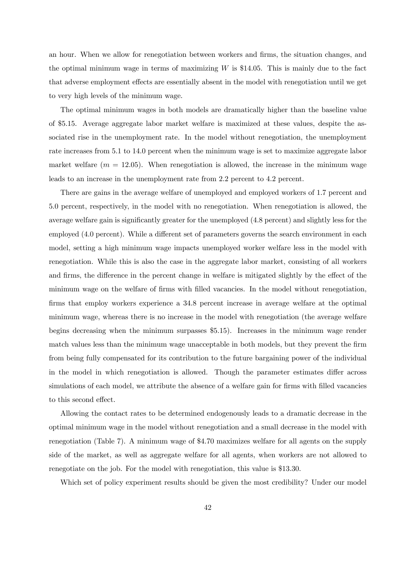an hour. When we allow for renegotiation between workers and firms, the situation changes, and the optimal minimum wage in terms of maximizing  $W$  is \$14.05. This is mainly due to the fact that adverse employment effects are essentially absent in the model with renegotiation until we get to very high levels of the minimum wage.

The optimal minimum wages in both models are dramatically higher than the baseline value of \$5.15. Average aggregate labor market welfare is maximized at these values, despite the associated rise in the unemployment rate. In the model without renegotiation, the unemployment rate increases from 5.1 to 14.0 percent when the minimum wage is set to maximize aggregate labor market welfare  $(m = 12.05)$ . When renegotiation is allowed, the increase in the minimum wage leads to an increase in the unemployment rate from 2.2 percent to 4.2 percent.

There are gains in the average welfare of unemployed and employed workers of 1.7 percent and 5.0 percent, respectively, in the model with no renegotiation. When renegotiation is allowed, the average welfare gain is significantly greater for the unemployed (4.8 percent) and slightly less for the employed (4.0 percent). While a different set of parameters governs the search environment in each model, setting a high minimum wage impacts unemployed worker welfare less in the model with renegotiation. While this is also the case in the aggregate labor market, consisting of all workers and firms, the difference in the percent change in welfare is mitigated slightly by the effect of the minimum wage on the welfare of firms with filled vacancies. In the model without renegotiation, firms that employ workers experience a 34.8 percent increase in average welfare at the optimal minimum wage, whereas there is no increase in the model with renegotiation (the average welfare begins decreasing when the minimum surpasses \$5.15). Increases in the minimum wage render match values less than the minimum wage unacceptable in both models, but they prevent the firm from being fully compensated for its contribution to the future bargaining power of the individual in the model in which renegotiation is allowed. Though the parameter estimates differ across simulations of each model, we attribute the absence of a welfare gain for firms with filled vacancies to this second effect.

Allowing the contact rates to be determined endogenously leads to a dramatic decrease in the optimal minimum wage in the model without renegotiation and a small decrease in the model with renegotiation (Table 7). A minimum wage of \$4.70 maximizes welfare for all agents on the supply side of the market, as well as aggregate welfare for all agents, when workers are not allowed to renegotiate on the job. For the model with renegotiation, this value is \$13.30.

Which set of policy experiment results should be given the most credibility? Under our model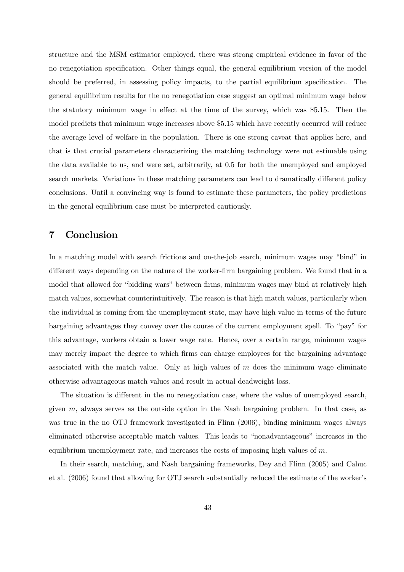structure and the MSM estimator employed, there was strong empirical evidence in favor of the no renegotiation specification. Other things equal, the general equilibrium version of the model should be preferred, in assessing policy impacts, to the partial equilibrium specification. The general equilibrium results for the no renegotiation case suggest an optimal minimum wage below the statutory minimum wage in effect at the time of the survey, which was \$5.15. Then the model predicts that minimum wage increases above \$5.15 which have recently occurred will reduce the average level of welfare in the population. There is one strong caveat that applies here, and that is that crucial parameters characterizing the matching technology were not estimable using the data available to us, and were set, arbitrarily, at 0.5 for both the unemployed and employed search markets. Variations in these matching parameters can lead to dramatically different policy conclusions. Until a convincing way is found to estimate these parameters, the policy predictions in the general equilibrium case must be interpreted cautiously.

## 7 Conclusion

In a matching model with search frictions and on-the-job search, minimum wages may "bind" in different ways depending on the nature of the worker-firm bargaining problem. We found that in a model that allowed for "bidding wars" between firms, minimum wages may bind at relatively high match values, somewhat counterintuitively. The reason is that high match values, particularly when the individual is coming from the unemployment state, may have high value in terms of the future bargaining advantages they convey over the course of the current employment spell. To "pay" for this advantage, workers obtain a lower wage rate. Hence, over a certain range, minimum wages may merely impact the degree to which firms can charge employees for the bargaining advantage associated with the match value. Only at high values of  $m$  does the minimum wage eliminate otherwise advantageous match values and result in actual deadweight loss.

The situation is different in the no renegotiation case, where the value of unemployed search, given  $m$ , always serves as the outside option in the Nash bargaining problem. In that case, as was true in the no OTJ framework investigated in Flinn (2006), binding minimum wages always eliminated otherwise acceptable match values. This leads to "nonadvantageous" increases in the equilibrium unemployment rate, and increases the costs of imposing high values of  $m$ .

In their search, matching, and Nash bargaining frameworks, Dey and Flinn (2005) and Cahuc et al. (2006) found that allowing for OTJ search substantially reduced the estimate of the worker's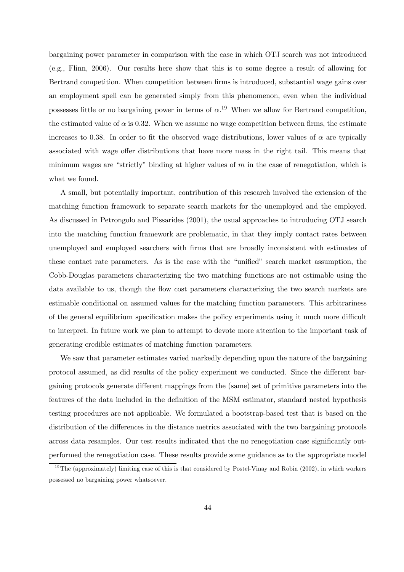bargaining power parameter in comparison with the case in which OTJ search was not introduced (e.g., Flinn, 2006). Our results here show that this is to some degree a result of allowing for Bertrand competition. When competition between firms is introduced, substantial wage gains over an employment spell can be generated simply from this phenomenon, even when the individual possesses little or no bargaining power in terms of  $\alpha$ .<sup>19</sup> When we allow for Bertrand competition, the estimated value of  $\alpha$  is 0.32. When we assume no wage competition between firms, the estimate increases to 0.38. In order to fit the observed wage distributions, lower values of  $\alpha$  are typically associated with wage offer distributions that have more mass in the right tail. This means that minimum wages are "strictly" binding at higher values of  $m$  in the case of renegotiation, which is what we found.

A small, but potentially important, contribution of this research involved the extension of the matching function framework to separate search markets for the unemployed and the employed. As discussed in Petrongolo and Pissarides (2001), the usual approaches to introducing OTJ search into the matching function framework are problematic, in that they imply contact rates between unemployed and employed searchers with firms that are broadly inconsistent with estimates of these contact rate parameters. As is the case with the "unified" search market assumption, the Cobb-Douglas parameters characterizing the two matching functions are not estimable using the data available to us, though the flow cost parameters characterizing the two search markets are estimable conditional on assumed values for the matching function parameters. This arbitrariness of the general equilibrium specification makes the policy experiments using it much more difficult to interpret. In future work we plan to attempt to devote more attention to the important task of generating credible estimates of matching function parameters.

We saw that parameter estimates varied markedly depending upon the nature of the bargaining protocol assumed, as did results of the policy experiment we conducted. Since the different bargaining protocols generate different mappings from the (same) set of primitive parameters into the features of the data included in the definition of the MSM estimator, standard nested hypothesis testing procedures are not applicable. We formulated a bootstrap-based test that is based on the distribution of the differences in the distance metrics associated with the two bargaining protocols across data resamples. Our test results indicated that the no renegotiation case significantly outperformed the renegotiation case. These results provide some guidance as to the appropriate model

 $19$ The (approximately) limiting case of this is that considered by Postel-Vinay and Robin (2002), in which workers possessed no bargaining power whatsoever.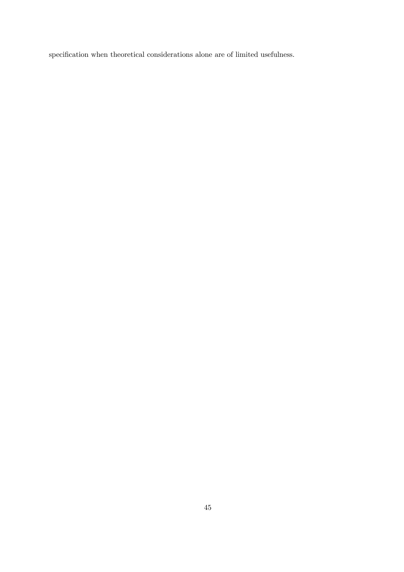specification when theoretical considerations alone are of limited usefulness.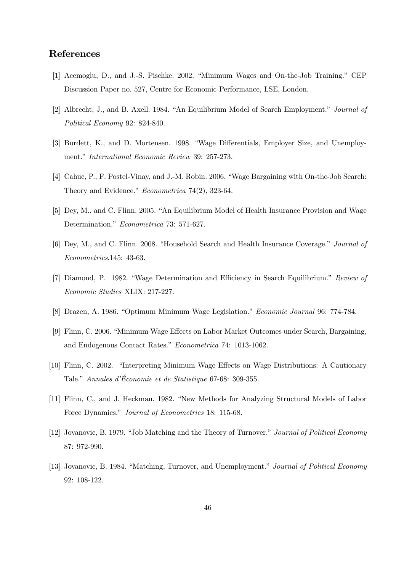# References

- [1] Acemoglu, D., and J.-S. Pischke. 2002. "Minimum Wages and On-the-Job Training." CEP Discussion Paper no. 527, Centre for Economic Performance, LSE, London.
- [2] Albrecht, J., and B. Axell. 1984. "An Equilibrium Model of Search Employment." Journal of Political Economy 92: 824-840.
- [3] Burdett, K., and D. Mortensen. 1998. "Wage Differentials, Employer Size, and Unemployment." International Economic Review 39: 257-273.
- [4] Cahuc, P., F. Postel-Vinay, and J.-M. Robin. 2006. "Wage Bargaining with On-the-Job Search: Theory and Evidence." Econometrica 74(2), 323-64.
- [5] Dey, M., and C. Flinn. 2005. "An Equilibrium Model of Health Insurance Provision and Wage Determination." Econometrica 73: 571-627.
- [6] Dey, M., and C. Flinn. 2008. "Household Search and Health Insurance Coverage." Journal of Econometrics.145: 43-63.
- [7] Diamond, P. 1982. "Wage Determination and Efficiency in Search Equilibrium." Review of Economic Studies XLIX: 217-227.
- [8] Drazen, A. 1986. "Optimum Minimum Wage Legislation." Economic Journal 96: 774-784.
- [9] Flinn, C. 2006. "Minimum Wage Effects on Labor Market Outcomes under Search, Bargaining, and Endogenous Contact Rates." Econometrica 74: 1013-1062.
- [10] Flinn, C. 2002. "Interpreting Minimum Wage Effects on Wage Distributions: A Cautionary Tale." Annales d'Économie et de Statistique 67-68: 309-355.
- [11] Flinn, C., and J. Heckman. 1982. "New Methods for Analyzing Structural Models of Labor Force Dynamics." Journal of Econometrics 18: 115-68.
- [12] Jovanovic, B. 1979. "Job Matching and the Theory of Turnover." Journal of Political Economy 87: 972-990.
- [13] Jovanovic, B. 1984. "Matching, Turnover, and Unemployment." Journal of Political Economy 92: 108-122.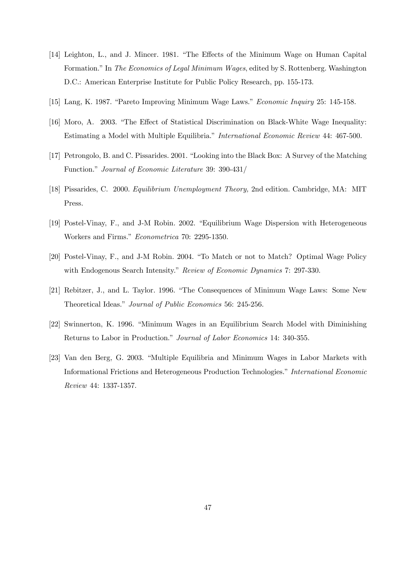- [14] Leighton, L., and J. Mincer. 1981. "The Effects of the Minimum Wage on Human Capital Formation." In The Economics of Legal Minimum Wages, edited by S. Rottenberg. Washington D.C.: American Enterprise Institute for Public Policy Research, pp. 155-173.
- [15] Lang, K. 1987. "Pareto Improving Minimum Wage Laws." Economic Inquiry 25: 145-158.
- [16] Moro, A. 2003. "The Effect of Statistical Discrimination on Black-White Wage Inequality: Estimating a Model with Multiple Equilibria." International Economic Review 44: 467-500.
- [17] Petrongolo, B. and C. Pissarides. 2001. "Looking into the Black Box: A Survey of the Matching Function." Journal of Economic Literature 39: 390-431/
- [18] Pissarides, C. 2000. Equilibrium Unemployment Theory, 2nd edition. Cambridge, MA: MIT Press.
- [19] Postel-Vinay, F., and J-M Robin. 2002. "Equilibrium Wage Dispersion with Heterogeneous Workers and Firms." Econometrica 70: 2295-1350.
- [20] Postel-Vinay, F., and J-M Robin. 2004. "To Match or not to Match? Optimal Wage Policy with Endogenous Search Intensity." Review of Economic Dynamics 7: 297-330.
- [21] Rebitzer, J., and L. Taylor. 1996. "The Consequences of Minimum Wage Laws: Some New Theoretical Ideas." Journal of Public Economics 56: 245-256.
- [22] Swinnerton, K. 1996. "Minimum Wages in an Equilibrium Search Model with Diminishing Returns to Labor in Production." Journal of Labor Economics 14: 340-355.
- [23] Van den Berg, G. 2003. "Multiple Equilibria and Minimum Wages in Labor Markets with Informational Frictions and Heterogeneous Production Technologies." International Economic Review 44: 1337-1357.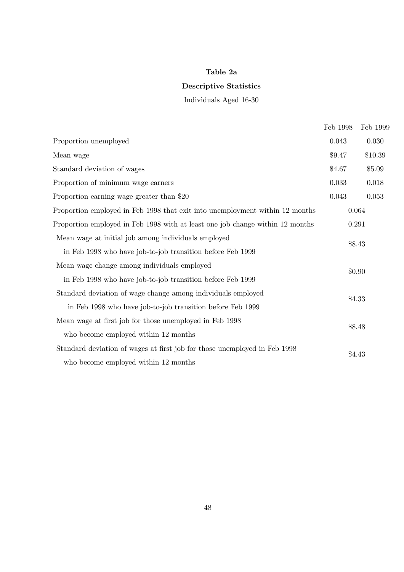# Table 2a

## Descriptive Statistics

Individuals Aged 16-30

|                                                                               | Feb 1998 | Feb 1999  |
|-------------------------------------------------------------------------------|----------|-----------|
| Proportion unemployed                                                         | 0.043    | 0.030     |
| Mean wage                                                                     | \$9.47   | \$10.39   |
| Standard deviation of wages                                                   | \$4.67   | \$5.09    |
| Proportion of minimum wage earners                                            | 0.033    | $0.018\,$ |
| Proportion earning wage greater than \$20                                     | 0.043    | $0.053\,$ |
| Proportion employed in Feb 1998 that exit into unemployment within 12 months  |          | 0.064     |
| Proportion employed in Feb 1998 with at least one job change within 12 months | 0.291    |           |
| Mean wage at initial job among individuals employed                           |          | \$8.43    |
| in Feb 1998 who have job-to-job transition before Feb 1999                    |          |           |
| Mean wage change among individuals employed                                   |          | \$0.90    |
| in Feb 1998 who have job-to-job transition before Feb 1999                    |          |           |
| Standard deviation of wage change among individuals employed                  |          | \$4.33    |
| in Feb 1998 who have job-to-job transition before Feb 1999                    |          |           |
| Mean wage at first job for those unemployed in Feb 1998                       |          | \$8.48    |
| who become employed within 12 months                                          |          |           |
| Standard deviation of wages at first job for those unemployed in Feb 1998     |          | \$4.43    |
| who become employed within 12 months                                          |          |           |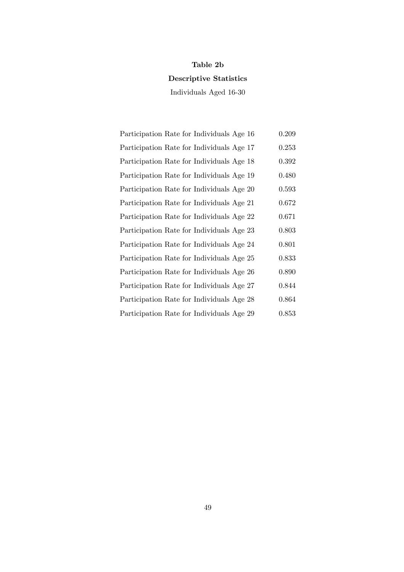## Table 2b

# Descriptive Statistics

Individuals Aged 16-30

| Participation Rate for Individuals Age 16 | 0.209 |
|-------------------------------------------|-------|
| Participation Rate for Individuals Age 17 | 0.253 |
| Participation Rate for Individuals Age 18 | 0.392 |
| Participation Rate for Individuals Age 19 | 0.480 |
| Participation Rate for Individuals Age 20 | 0.593 |
| Participation Rate for Individuals Age 21 | 0.672 |
| Participation Rate for Individuals Age 22 | 0.671 |
| Participation Rate for Individuals Age 23 | 0.803 |
| Participation Rate for Individuals Age 24 | 0.801 |
| Participation Rate for Individuals Age 25 | 0.833 |
| Participation Rate for Individuals Age 26 | 0.890 |
| Participation Rate for Individuals Age 27 | 0.844 |
| Participation Rate for Individuals Age 28 | 0.864 |
| Participation Rate for Individuals Age 29 | 0.853 |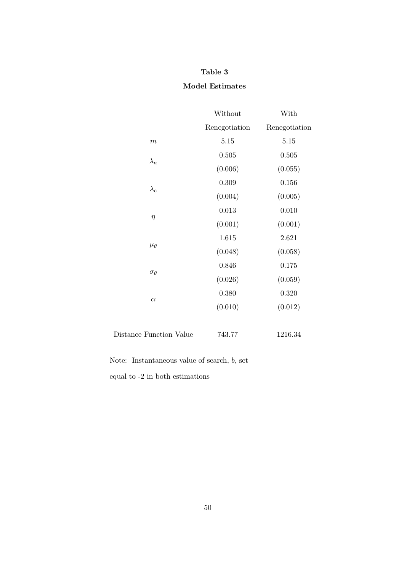### Table 3

## Model Estimates

|                         | Without                                                                                                                                                                  | With          |
|-------------------------|--------------------------------------------------------------------------------------------------------------------------------------------------------------------------|---------------|
|                         | Renegotiation                                                                                                                                                            | Renegotiation |
| $\boldsymbol{m}$        | 5.15                                                                                                                                                                     | 5.15          |
|                         | 0.505                                                                                                                                                                    | 0.505         |
|                         | (0.006)                                                                                                                                                                  | (0.055)       |
|                         | 0.309                                                                                                                                                                    | 0.156         |
|                         | (0.004)                                                                                                                                                                  | (0.005)       |
|                         | 0.013                                                                                                                                                                    | 0.010         |
|                         | $\lambda_n$<br>$\lambda_e$<br>$\eta$<br>(0.001)<br>1.615<br>$\mu_{\theta}$<br>(0.048)<br>0.846<br>$\sigma_{\theta}$<br>(0.026)<br>0.380<br>$\alpha$<br>(0.010)<br>743.77 | (0.001)       |
|                         |                                                                                                                                                                          | 2.621         |
|                         |                                                                                                                                                                          | (0.058)       |
|                         |                                                                                                                                                                          | 0.175         |
|                         |                                                                                                                                                                          | (0.059)       |
|                         |                                                                                                                                                                          | 0.320         |
|                         |                                                                                                                                                                          | (0.012)       |
| Distance Function Value |                                                                                                                                                                          | 1216.34       |

Note: Instantaneous value of search, b, set

equal to -2 in both estimations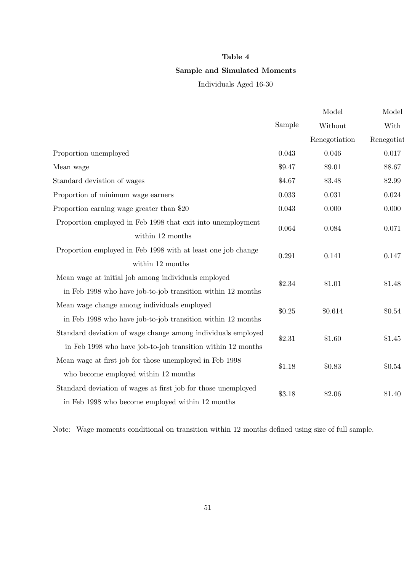### Table 4

## Sample and Simulated Moments

Individuals Aged 16-30

|                                                               |        | Model         | Model      |
|---------------------------------------------------------------|--------|---------------|------------|
|                                                               | Sample | Without       | With       |
|                                                               |        | Renegotiation | Renegotiat |
| Proportion unemployed                                         | 0.043  | 0.046         | 0.017      |
| Mean wage                                                     | \$9.47 | \$9.01        | \$8.67     |
| Standard deviation of wages                                   | \$4.67 | \$3.48        | \$2.99     |
| Proportion of minimum wage earners                            | 0.033  | 0.031         | 0.024      |
| Proportion earning wage greater than \$20                     | 0.043  | 0.000         | 0.000      |
| Proportion employed in Feb 1998 that exit into unemployment   | 0.064  | 0.084         | 0.071      |
| within 12 months                                              |        |               |            |
| Proportion employed in Feb 1998 with at least one job change  | 0.291  | 0.141         | 0.147      |
| within 12 months                                              |        |               |            |
| Mean wage at initial job among individuals employed           | \$2.34 | \$1.01        | \$1.48     |
| in Feb 1998 who have job-to-job transition within 12 months   |        |               |            |
| Mean wage change among individuals employed                   | \$0.25 | \$0.614       | \$0.54     |
| in Feb 1998 who have job-to-job transition within 12 months   |        |               |            |
| Standard deviation of wage change among individuals employed  | \$2.31 | \$1.60        | \$1.45     |
| in Feb 1998 who have job-to-job transition within 12 months   |        |               |            |
| Mean wage at first job for those unemployed in Feb 1998       | \$1.18 | \$0.83        | \$0.54     |
| who become employed within 12 months                          |        |               |            |
| Standard deviation of wages at first job for those unemployed | \$3.18 | \$2.06        | \$1.40     |
| in Feb 1998 who become employed within 12 months              |        |               |            |

Note: Wage moments conditional on transition within 12 months defined using size of full sample.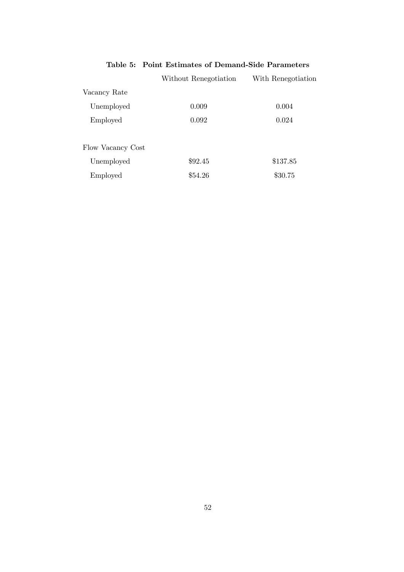# Table 5: Point Estimates of Demand-Side Parameters

|                   | Without Renegotiation | With Renegotiation |
|-------------------|-----------------------|--------------------|
| Vacancy Rate      |                       |                    |
| Unemployed        | 0.009                 | 0.004              |
| Employed          | 0.092                 | 0.024              |
| Flow Vacancy Cost |                       |                    |
| Unemployed        | \$92.45               | \$137.85           |
| Employed          | \$54.26               | \$30.75            |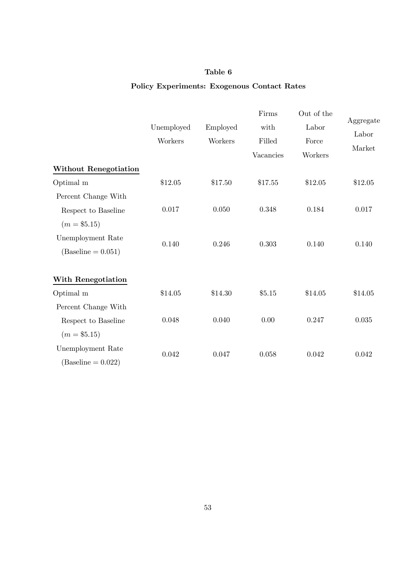# Table 6

## Policy Experiments: Exogenous Contact Rates

|                       | Unemployed<br>Workers | Employed<br>Workers | Firms<br>with<br>Filled<br>Vacancies | Out of the<br>Labor<br>Force<br>Workers | Aggregate<br>Labor<br>Market |
|-----------------------|-----------------------|---------------------|--------------------------------------|-----------------------------------------|------------------------------|
| Without Renegotiation |                       |                     |                                      |                                         |                              |
| Optimal m             | \$12.05               | \$17.50             | \$17.55                              | \$12.05                                 | \$12.05                      |
| Percent Change With   |                       |                     |                                      |                                         |                              |
| Respect to Baseline   | 0.017                 | 0.050               | 0.348                                | 0.184                                   | 0.017                        |
| $(m = $5.15)$         |                       |                     |                                      |                                         |                              |
| Unemployment Rate     | 0.140                 | 0.246               | 0.303                                | 0.140                                   | 0.140                        |
| $(Baseline = 0.051)$  |                       |                     |                                      |                                         |                              |
| With Renegotiation    |                       |                     |                                      |                                         |                              |
| Optimal m             | \$14.05               | \$14.30             | \$5.15                               | \$14.05                                 | \$14.05                      |
| Percent Change With   |                       |                     |                                      |                                         |                              |
| Respect to Baseline   | 0.048                 | 0.040               | 0.00                                 | 0.247                                   | 0.035                        |
| $(m = $5.15)$         |                       |                     |                                      |                                         |                              |
| Unemployment Rate     | 0.042                 | 0.047               | 0.058                                | 0.042                                   | 0.042                        |
| $(Baseline = 0.022)$  |                       |                     |                                      |                                         |                              |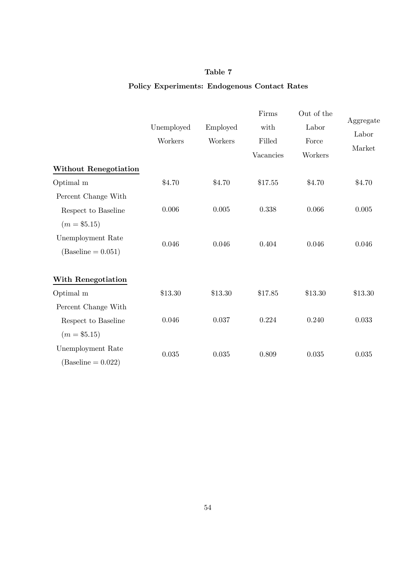# Table 7

## Policy Experiments: Endogenous Contact Rates

|                              |            |          | Firms     | Out of the |           |
|------------------------------|------------|----------|-----------|------------|-----------|
|                              | Unemployed | Employed | with      | Labor      | Aggregate |
|                              | Workers    | Workers  | Filled    | Force      | Labor     |
|                              |            |          | Vacancies | Workers    | Market    |
| <b>Without Renegotiation</b> |            |          |           |            |           |
| Optimal m                    | \$4.70     | \$4.70   | \$17.55   | \$4.70     | \$4.70    |
| Percent Change With          |            |          |           |            |           |
| Respect to Baseline          | 0.006      | 0.005    | 0.338     | 0.066      | $0.005\,$ |
| $(m = $5.15)$                |            |          |           |            |           |
| Unemployment Rate            | 0.046      | 0.046    | 0.404     | 0.046      |           |
| $(Baseline = 0.051)$         |            |          |           |            | 0.046     |
| With Renegotiation           |            |          |           |            |           |
| Optimal m                    | \$13.30    | \$13.30  | \$17.85   | \$13.30    | \$13.30   |
| Percent Change With          |            |          |           |            |           |
| Respect to Baseline          | 0.046      | 0.037    | 0.224     | 0.240      | 0.033     |
| $(m = $5.15)$                |            |          |           |            |           |
| Unemployment Rate            |            |          |           |            |           |
| $(Baseline = 0.022)$         | 0.035      | 0.035    | 0.809     | 0.035      | 0.035     |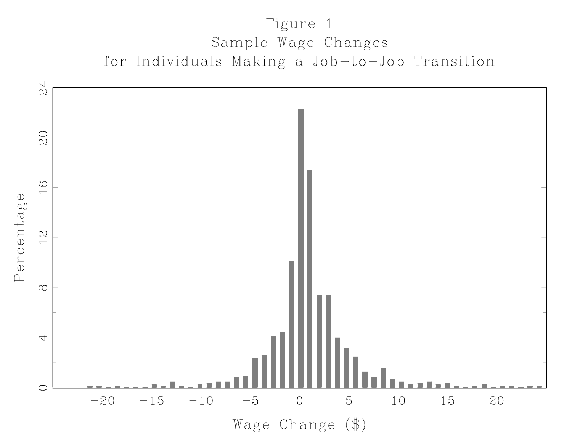# Figure 1 Sample Wage Changes for Individuals Making a Job-to-Job Transition

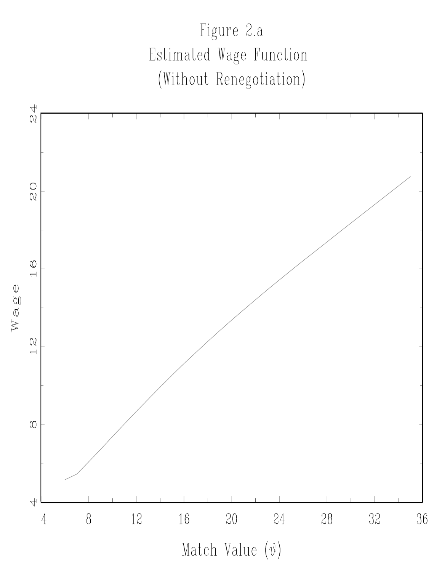

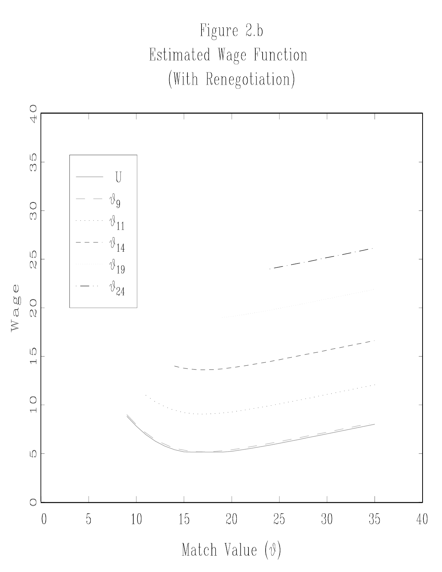Figure 2.b Estimated Wage Function (With Renegotiation)

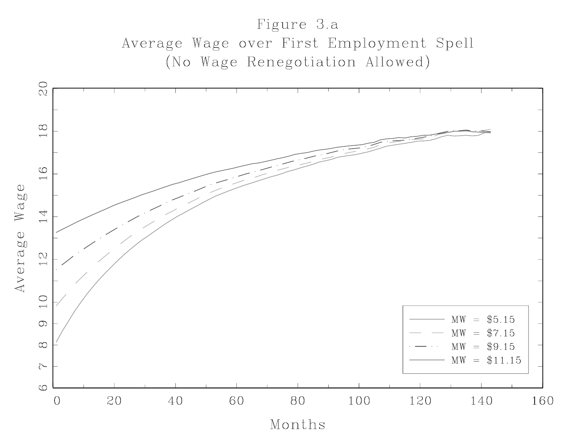# Figure 3.a Average Wage over First Employment Spell (No Wage Renegotiation Allowed)

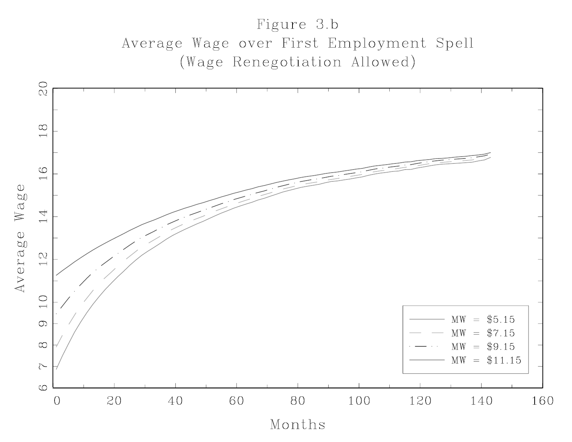# Figure 3.b Average Wage over First Employment Spell (Wage Renegotiation Allowed)

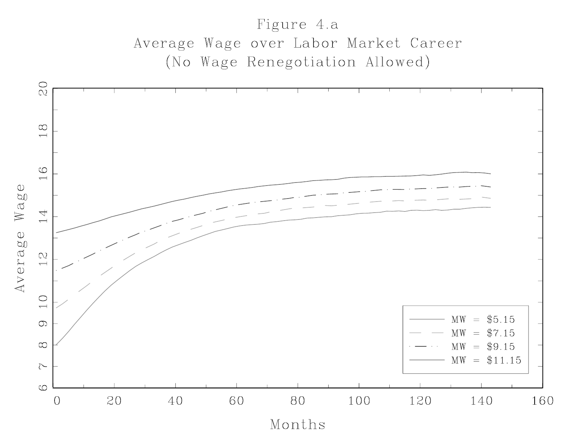# Figure 4.a Average Wage over Labor Market Career (No Wage Renegotiation Allowed)

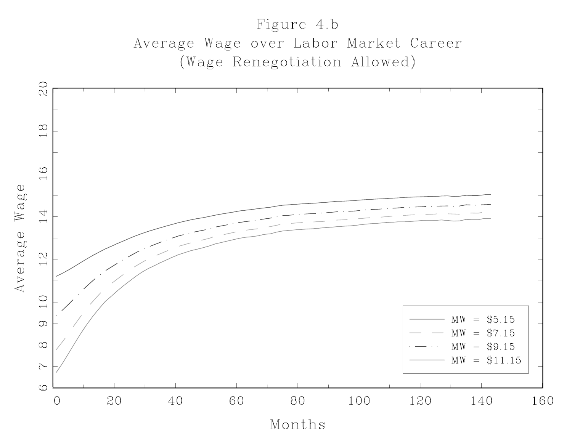# Figure 4.b Average Wage over Labor Market Career (Wage Renegotiation Allowed)